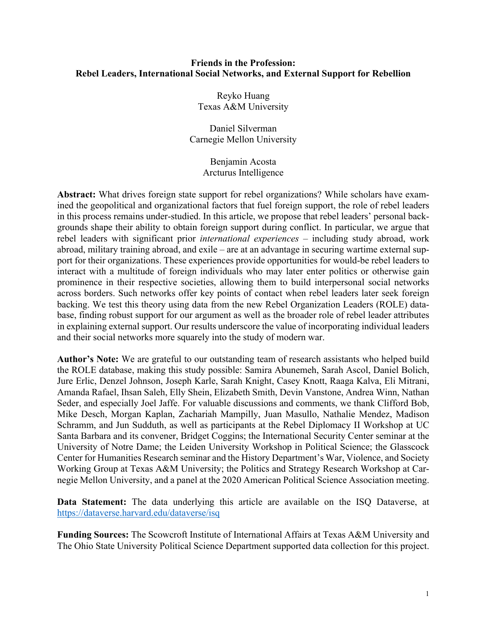### **Friends in the Profession: Rebel Leaders, International Social Networks, and External Support for Rebellion**

Reyko Huang Texas A&M University

Daniel Silverman Carnegie Mellon University

> Benjamin Acosta Arcturus Intelligence

**Abstract:** What drives foreign state support for rebel organizations? While scholars have examined the geopolitical and organizational factors that fuel foreign support, the role of rebel leaders in this process remains under-studied. In this article, we propose that rebel leaders' personal backgrounds shape their ability to obtain foreign support during conflict. In particular, we argue that rebel leaders with significant prior *international experiences* – including study abroad, work abroad, military training abroad, and exile – are at an advantage in securing wartime external support for their organizations. These experiences provide opportunities for would-be rebel leaders to interact with a multitude of foreign individuals who may later enter politics or otherwise gain prominence in their respective societies, allowing them to build interpersonal social networks across borders. Such networks offer key points of contact when rebel leaders later seek foreign backing. We test this theory using data from the new Rebel Organization Leaders (ROLE) database, finding robust support for our argument as well as the broader role of rebel leader attributes in explaining external support. Our results underscore the value of incorporating individual leaders and their social networks more squarely into the study of modern war.

**Author's Note:** We are grateful to our outstanding team of research assistants who helped build the ROLE database, making this study possible: Samira Abunemeh, Sarah Ascol, Daniel Bolich, Jure Erlic, Denzel Johnson, Joseph Karle, Sarah Knight, Casey Knott, Raaga Kalva, Eli Mitrani, Amanda Rafael, Ihsan Saleh, Elly Shein, Elizabeth Smith, Devin Vanstone, Andrea Winn, Nathan Seder, and especially Joel Jaffe. For valuable discussions and comments, we thank Clifford Bob, Mike Desch, Morgan Kaplan, Zachariah Mampilly, Juan Masullo, Nathalie Mendez, Madison Schramm, and Jun Sudduth, as well as participants at the Rebel Diplomacy II Workshop at UC Santa Barbara and its convener, Bridget Coggins; the International Security Center seminar at the University of Notre Dame; the Leiden University Workshop in Political Science; the Glasscock Center for Humanities Research seminar and the History Department's War, Violence, and Society Working Group at Texas A&M University; the Politics and Strategy Research Workshop at Carnegie Mellon University, and a panel at the 2020 American Political Science Association meeting.

**Data Statement:** The data underlying this article are available on the ISQ Dataverse, at https://dataverse.harvard.edu/dataverse/isq

**Funding Sources:** The Scowcroft Institute of International Affairs at Texas A&M University and The Ohio State University Political Science Department supported data collection for this project.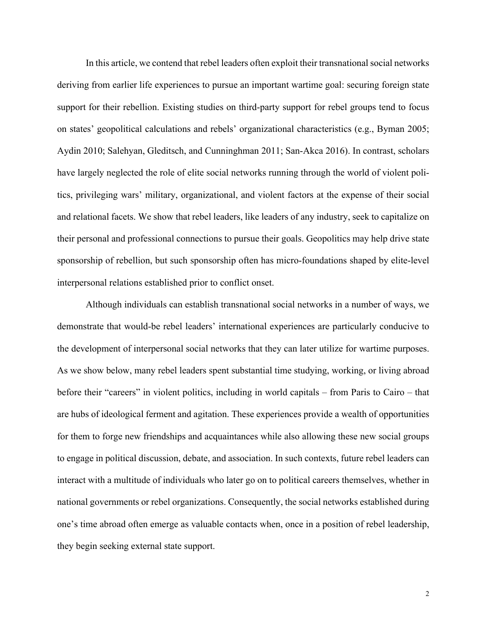In this article, we contend that rebel leaders often exploit their transnational social networks deriving from earlier life experiences to pursue an important wartime goal: securing foreign state support for their rebellion. Existing studies on third-party support for rebel groups tend to focus on states' geopolitical calculations and rebels' organizational characteristics (e.g., Byman 2005; Aydin 2010; Salehyan, Gleditsch, and Cunninghman 2011; San-Akca 2016). In contrast, scholars have largely neglected the role of elite social networks running through the world of violent politics, privileging wars' military, organizational, and violent factors at the expense of their social and relational facets. We show that rebel leaders, like leaders of any industry, seek to capitalize on their personal and professional connections to pursue their goals. Geopolitics may help drive state sponsorship of rebellion, but such sponsorship often has micro-foundations shaped by elite-level interpersonal relations established prior to conflict onset.

Although individuals can establish transnational social networks in a number of ways, we demonstrate that would-be rebel leaders' international experiences are particularly conducive to the development of interpersonal social networks that they can later utilize for wartime purposes. As we show below, many rebel leaders spent substantial time studying, working, or living abroad before their "careers" in violent politics, including in world capitals – from Paris to Cairo – that are hubs of ideological ferment and agitation. These experiences provide a wealth of opportunities for them to forge new friendships and acquaintances while also allowing these new social groups to engage in political discussion, debate, and association. In such contexts, future rebel leaders can interact with a multitude of individuals who later go on to political careers themselves, whether in national governments or rebel organizations. Consequently, the social networks established during one's time abroad often emerge as valuable contacts when, once in a position of rebel leadership, they begin seeking external state support.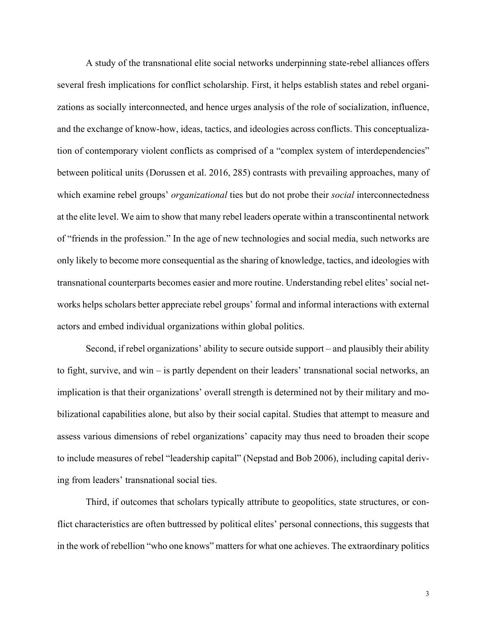A study of the transnational elite social networks underpinning state-rebel alliances offers several fresh implications for conflict scholarship. First, it helps establish states and rebel organizations as socially interconnected, and hence urges analysis of the role of socialization, influence, and the exchange of know-how, ideas, tactics, and ideologies across conflicts. This conceptualization of contemporary violent conflicts as comprised of a "complex system of interdependencies" between political units (Dorussen et al. 2016, 285) contrasts with prevailing approaches, many of which examine rebel groups' *organizational* ties but do not probe their *social* interconnectedness at the elite level. We aim to show that many rebel leaders operate within a transcontinental network of "friends in the profession." In the age of new technologies and social media, such networks are only likely to become more consequential as the sharing of knowledge, tactics, and ideologies with transnational counterparts becomes easier and more routine. Understanding rebel elites' social networks helps scholars better appreciate rebel groups' formal and informal interactions with external actors and embed individual organizations within global politics.

Second, if rebel organizations' ability to secure outside support – and plausibly their ability to fight, survive, and win – is partly dependent on their leaders' transnational social networks, an implication is that their organizations' overall strength is determined not by their military and mobilizational capabilities alone, but also by their social capital. Studies that attempt to measure and assess various dimensions of rebel organizations' capacity may thus need to broaden their scope to include measures of rebel "leadership capital" (Nepstad and Bob 2006), including capital deriving from leaders' transnational social ties.

Third, if outcomes that scholars typically attribute to geopolitics, state structures, or conflict characteristics are often buttressed by political elites' personal connections, this suggests that in the work of rebellion "who one knows" matters for what one achieves. The extraordinary politics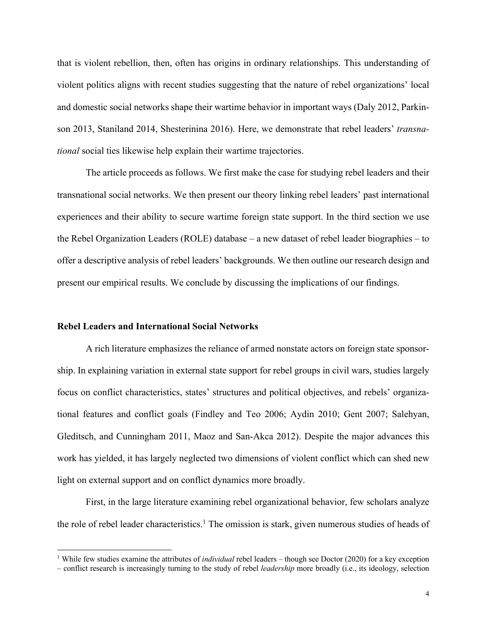that is violent rebellion, then, often has origins in ordinary relationships. This understanding of violent politics aligns with recent studies suggesting that the nature of rebel organizations' local and domestic social networks shape their wartime behavior in important ways (Daly 2012, Parkinson 2013, Staniland 2014, Shesterinina 2016). Here, we demonstrate that rebel leaders' *transnational* social ties likewise help explain their wartime trajectories.

The article proceeds as follows. We first make the case for studying rebel leaders and their transnational social networks. We then present our theory linking rebel leaders' past international experiences and their ability to secure wartime foreign state support. In the third section we use the Rebel Organization Leaders (ROLE) database – a new dataset of rebel leader biographies – to offer a descriptive analysis of rebel leaders' backgrounds. We then outline our research design and present our empirical results. We conclude by discussing the implications of our findings.

#### **Rebel Leaders and International Social Networks**

A rich literature emphasizes the reliance of armed nonstate actors on foreign state sponsorship. In explaining variation in external state support for rebel groups in civil wars, studies largely focus on conflict characteristics, states' structures and political objectives, and rebels' organizational features and conflict goals (Findley and Teo 2006; Aydin 2010; Gent 2007; Salehyan, Gleditsch, and Cunningham 2011, Maoz and San-Akca 2012). Despite the major advances this work has yielded, it has largely neglected two dimensions of violent conflict which can shed new light on external support and on conflict dynamics more broadly.

First, in the large literature examining rebel organizational behavior, few scholars analyze the role of rebel leader characteristics. <sup>1</sup> The omission is stark, given numerous studies of heads of

<sup>&</sup>lt;sup>1</sup> While few studies examine the attributes of *individual* rebel leaders – though see Doctor (2020) for a key exception – conflict research is increasingly turning to the study of rebel *leadership* more broadly (i.e., its ideology, selection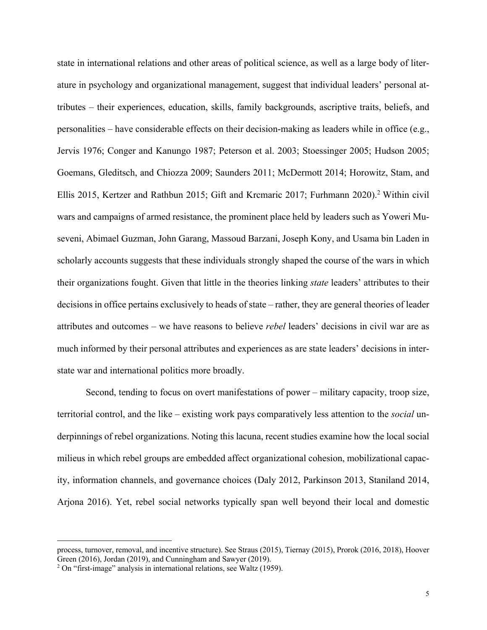state in international relations and other areas of political science, as well as a large body of literature in psychology and organizational management, suggest that individual leaders' personal attributes – their experiences, education, skills, family backgrounds, ascriptive traits, beliefs, and personalities – have considerable effects on their decision-making as leaders while in office (e.g., Jervis 1976; Conger and Kanungo 1987; Peterson et al. 2003; Stoessinger 2005; Hudson 2005; Goemans, Gleditsch, and Chiozza 2009; Saunders 2011; McDermott 2014; Horowitz, Stam, and Ellis 2015, Kertzer and Rathbun 2015; Gift and Krcmaric 2017; Furhmann 2020). <sup>2</sup> Within civil wars and campaigns of armed resistance, the prominent place held by leaders such as Yoweri Museveni, Abimael Guzman, John Garang, Massoud Barzani, Joseph Kony, and Usama bin Laden in scholarly accounts suggests that these individuals strongly shaped the course of the wars in which their organizations fought. Given that little in the theories linking *state* leaders' attributes to their decisions in office pertains exclusively to heads of state – rather, they are general theories of leader attributes and outcomes – we have reasons to believe *rebel* leaders' decisions in civil war are as much informed by their personal attributes and experiences as are state leaders' decisions in interstate war and international politics more broadly.

Second, tending to focus on overt manifestations of power – military capacity, troop size, territorial control, and the like – existing work pays comparatively less attention to the *social* underpinnings of rebel organizations. Noting this lacuna, recent studies examine how the local social milieus in which rebel groups are embedded affect organizational cohesion, mobilizational capacity, information channels, and governance choices (Daly 2012, Parkinson 2013, Staniland 2014, Arjona 2016). Yet, rebel social networks typically span well beyond their local and domestic

process, turnover, removal, and incentive structure). See Straus (2015), Tiernay (2015), Prorok (2016, 2018), Hoover Green (2016), Jordan (2019), and Cunningham and Sawyer (2019).

<sup>&</sup>lt;sup>2</sup> On "first-image" analysis in international relations, see Waltz (1959).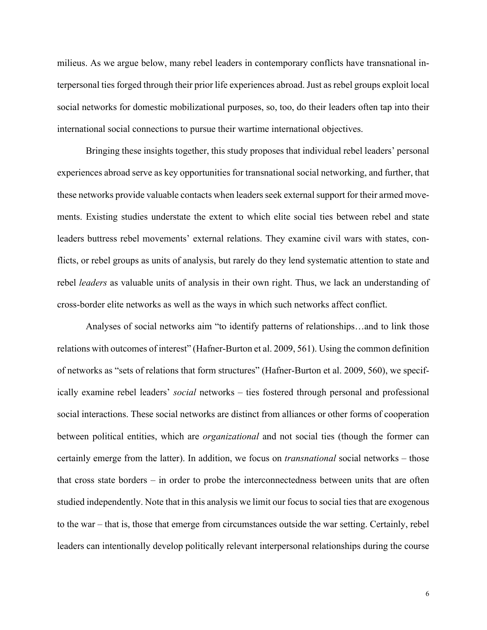milieus. As we argue below, many rebel leaders in contemporary conflicts have transnational interpersonal ties forged through their prior life experiences abroad. Just as rebel groups exploit local social networks for domestic mobilizational purposes, so, too, do their leaders often tap into their international social connections to pursue their wartime international objectives.

Bringing these insights together, this study proposes that individual rebel leaders' personal experiences abroad serve as key opportunities for transnational social networking, and further, that these networks provide valuable contacts when leaders seek external support for their armed movements. Existing studies understate the extent to which elite social ties between rebel and state leaders buttress rebel movements' external relations. They examine civil wars with states, conflicts, or rebel groups as units of analysis, but rarely do they lend systematic attention to state and rebel *leaders* as valuable units of analysis in their own right. Thus, we lack an understanding of cross-border elite networks as well as the ways in which such networks affect conflict.

Analyses of social networks aim "to identify patterns of relationships…and to link those relations with outcomes of interest" (Hafner-Burton et al. 2009, 561). Using the common definition of networks as "sets of relations that form structures" (Hafner-Burton et al. 2009, 560), we specifically examine rebel leaders' *social* networks – ties fostered through personal and professional social interactions. These social networks are distinct from alliances or other forms of cooperation between political entities, which are *organizational* and not social ties (though the former can certainly emerge from the latter). In addition, we focus on *transnational* social networks – those that cross state borders – in order to probe the interconnectedness between units that are often studied independently. Note that in this analysis we limit our focus to social ties that are exogenous to the war – that is, those that emerge from circumstances outside the war setting. Certainly, rebel leaders can intentionally develop politically relevant interpersonal relationships during the course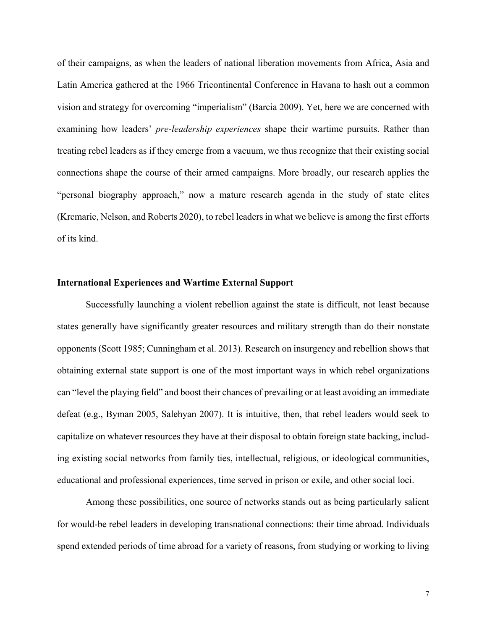of their campaigns, as when the leaders of national liberation movements from Africa, Asia and Latin America gathered at the 1966 Tricontinental Conference in Havana to hash out a common vision and strategy for overcoming "imperialism" (Barcia 2009). Yet, here we are concerned with examining how leaders' *pre-leadership experiences* shape their wartime pursuits. Rather than treating rebel leaders as if they emerge from a vacuum, we thus recognize that their existing social connections shape the course of their armed campaigns. More broadly, our research applies the "personal biography approach," now a mature research agenda in the study of state elites (Krcmaric, Nelson, and Roberts 2020), to rebel leaders in what we believe is among the first efforts of its kind.

#### **International Experiences and Wartime External Support**

Successfully launching a violent rebellion against the state is difficult, not least because states generally have significantly greater resources and military strength than do their nonstate opponents (Scott 1985; Cunningham et al. 2013). Research on insurgency and rebellion shows that obtaining external state support is one of the most important ways in which rebel organizations can "level the playing field" and boost their chances of prevailing or at least avoiding an immediate defeat (e.g., Byman 2005, Salehyan 2007). It is intuitive, then, that rebel leaders would seek to capitalize on whatever resources they have at their disposal to obtain foreign state backing, including existing social networks from family ties, intellectual, religious, or ideological communities, educational and professional experiences, time served in prison or exile, and other social loci.

Among these possibilities, one source of networks stands out as being particularly salient for would-be rebel leaders in developing transnational connections: their time abroad. Individuals spend extended periods of time abroad for a variety of reasons, from studying or working to living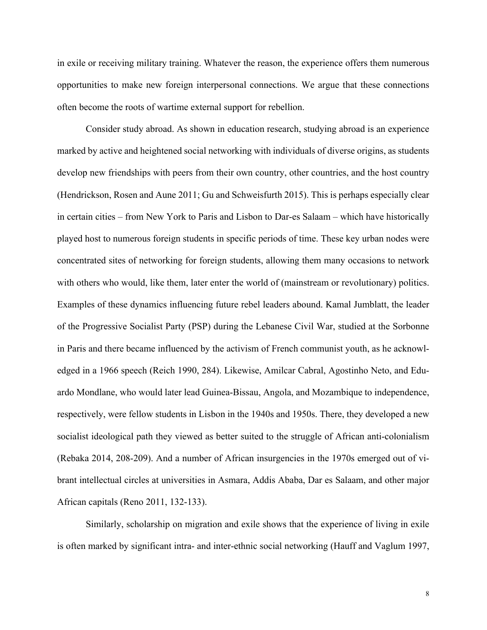in exile or receiving military training. Whatever the reason, the experience offers them numerous opportunities to make new foreign interpersonal connections. We argue that these connections often become the roots of wartime external support for rebellion.

Consider study abroad. As shown in education research, studying abroad is an experience marked by active and heightened social networking with individuals of diverse origins, as students develop new friendships with peers from their own country, other countries, and the host country (Hendrickson, Rosen and Aune 2011; Gu and Schweisfurth 2015). This is perhaps especially clear in certain cities – from New York to Paris and Lisbon to Dar-es Salaam – which have historically played host to numerous foreign students in specific periods of time. These key urban nodes were concentrated sites of networking for foreign students, allowing them many occasions to network with others who would, like them, later enter the world of (mainstream or revolutionary) politics. Examples of these dynamics influencing future rebel leaders abound. Kamal Jumblatt, the leader of the Progressive Socialist Party (PSP) during the Lebanese Civil War, studied at the Sorbonne in Paris and there became influenced by the activism of French communist youth, as he acknowledged in a 1966 speech (Reich 1990, 284). Likewise, Amilcar Cabral, Agostinho Neto, and Eduardo Mondlane, who would later lead Guinea-Bissau, Angola, and Mozambique to independence, respectively, were fellow students in Lisbon in the 1940s and 1950s. There, they developed a new socialist ideological path they viewed as better suited to the struggle of African anti-colonialism (Rebaka 2014, 208-209). And a number of African insurgencies in the 1970s emerged out of vibrant intellectual circles at universities in Asmara, Addis Ababa, Dar es Salaam, and other major African capitals (Reno 2011, 132-133).

Similarly, scholarship on migration and exile shows that the experience of living in exile is often marked by significant intra- and inter-ethnic social networking (Hauff and Vaglum 1997,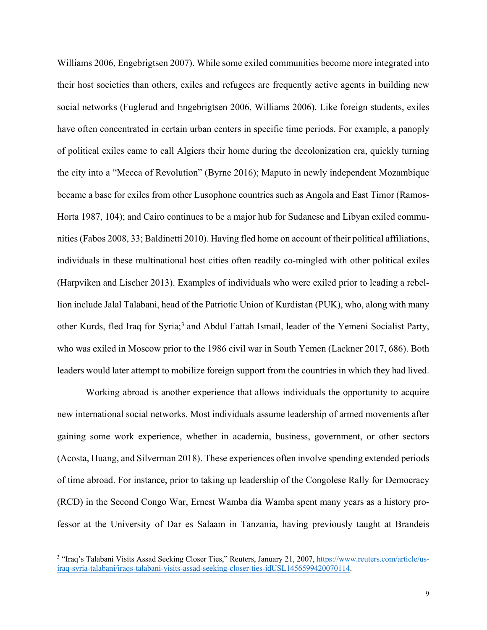Williams 2006, Engebrigtsen 2007). While some exiled communities become more integrated into their host societies than others, exiles and refugees are frequently active agents in building new social networks (Fuglerud and Engebrigtsen 2006, Williams 2006). Like foreign students, exiles have often concentrated in certain urban centers in specific time periods. For example, a panoply of political exiles came to call Algiers their home during the decolonization era, quickly turning the city into a "Mecca of Revolution" (Byrne 2016); Maputo in newly independent Mozambique became a base for exiles from other Lusophone countries such as Angola and East Timor (Ramos-Horta 1987, 104); and Cairo continues to be a major hub for Sudanese and Libyan exiled communities (Fabos 2008, 33; Baldinetti 2010). Having fled home on account of their political affiliations, individuals in these multinational host cities often readily co-mingled with other political exiles (Harpviken and Lischer 2013). Examples of individuals who were exiled prior to leading a rebellion include Jalal Talabani, head of the Patriotic Union of Kurdistan (PUK), who, along with many other Kurds, fled Iraq for Syria;<sup>3</sup> and Abdul Fattah Ismail, leader of the Yemeni Socialist Party, who was exiled in Moscow prior to the 1986 civil war in South Yemen (Lackner 2017, 686). Both leaders would later attempt to mobilize foreign support from the countries in which they had lived.

Working abroad is another experience that allows individuals the opportunity to acquire new international social networks. Most individuals assume leadership of armed movements after gaining some work experience, whether in academia, business, government, or other sectors (Acosta, Huang, and Silverman 2018). These experiences often involve spending extended periods of time abroad. For instance, prior to taking up leadership of the Congolese Rally for Democracy (RCD) in the Second Congo War, Ernest Wamba dia Wamba spent many years as a history professor at the University of Dar es Salaam in Tanzania, having previously taught at Brandeis

<sup>&</sup>lt;sup>3</sup> "Iraq's Talabani Visits Assad Seeking Closer Ties," Reuters, January 21, 2007, https://www.reuters.com/article/usiraq-syria-talabani/iraqs-talabani-visits-assad-seeking-closer-ties-idUSL1456599420070114.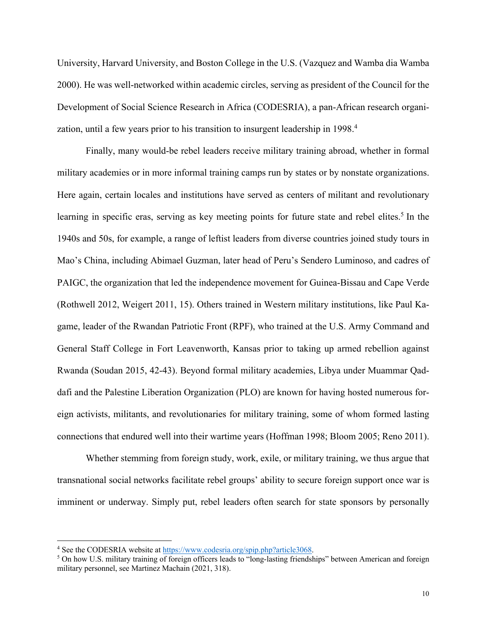University, Harvard University, and Boston College in the U.S. (Vazquez and Wamba dia Wamba 2000). He was well-networked within academic circles, serving as president of the Council for the Development of Social Science Research in Africa (CODESRIA), a pan-African research organization, until a few years prior to his transition to insurgent leadership in 1998. 4

Finally, many would-be rebel leaders receive military training abroad, whether in formal military academies or in more informal training camps run by states or by nonstate organizations. Here again, certain locales and institutions have served as centers of militant and revolutionary learning in specific eras, serving as key meeting points for future state and rebel elites.<sup>5</sup> In the 1940s and 50s, for example, a range of leftist leaders from diverse countries joined study tours in Mao's China, including Abimael Guzman, later head of Peru's Sendero Luminoso, and cadres of PAIGC, the organization that led the independence movement for Guinea-Bissau and Cape Verde (Rothwell 2012, Weigert 2011, 15). Others trained in Western military institutions, like Paul Kagame, leader of the Rwandan Patriotic Front (RPF), who trained at the U.S. Army Command and General Staff College in Fort Leavenworth, Kansas prior to taking up armed rebellion against Rwanda (Soudan 2015, 42-43). Beyond formal military academies, Libya under Muammar Qaddafi and the Palestine Liberation Organization (PLO) are known for having hosted numerous foreign activists, militants, and revolutionaries for military training, some of whom formed lasting connections that endured well into their wartime years (Hoffman 1998; Bloom 2005; Reno 2011).

Whether stemming from foreign study, work, exile, or military training, we thus argue that transnational social networks facilitate rebel groups' ability to secure foreign support once war is imminent or underway. Simply put, rebel leaders often search for state sponsors by personally

<sup>&</sup>lt;sup>4</sup> See the CODESRIA website at  $\frac{https://www.codesria.org/spip.php?article3068}{https://www.codesria.org/spip.php?article3068}$ .<br><sup>5</sup> On how U.S. military training of foreign officers leads to "long-lasting friendships" between American and foreign military personnel, see Martinez Machain (2021, 318).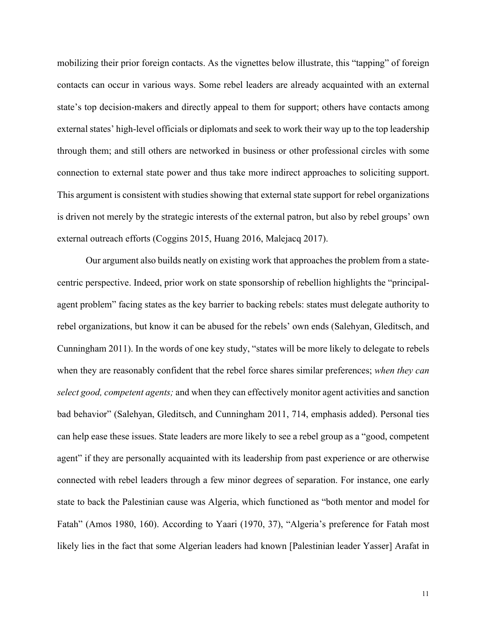mobilizing their prior foreign contacts. As the vignettes below illustrate, this "tapping" of foreign contacts can occur in various ways. Some rebel leaders are already acquainted with an external state's top decision-makers and directly appeal to them for support; others have contacts among external states' high-level officials or diplomats and seek to work their way up to the top leadership through them; and still others are networked in business or other professional circles with some connection to external state power and thus take more indirect approaches to soliciting support. This argument is consistent with studies showing that external state support for rebel organizations is driven not merely by the strategic interests of the external patron, but also by rebel groups' own external outreach efforts (Coggins 2015, Huang 2016, Malejacq 2017).

Our argument also builds neatly on existing work that approaches the problem from a statecentric perspective. Indeed, prior work on state sponsorship of rebellion highlights the "principalagent problem" facing states as the key barrier to backing rebels: states must delegate authority to rebel organizations, but know it can be abused for the rebels' own ends (Salehyan, Gleditsch, and Cunningham 2011). In the words of one key study, "states will be more likely to delegate to rebels when they are reasonably confident that the rebel force shares similar preferences; *when they can select good, competent agents;* and when they can effectively monitor agent activities and sanction bad behavior" (Salehyan, Gleditsch, and Cunningham 2011, 714, emphasis added). Personal ties can help ease these issues. State leaders are more likely to see a rebel group as a "good, competent agent" if they are personally acquainted with its leadership from past experience or are otherwise connected with rebel leaders through a few minor degrees of separation. For instance, one early state to back the Palestinian cause was Algeria, which functioned as "both mentor and model for Fatah" (Amos 1980, 160). According to Yaari (1970, 37), "Algeria's preference for Fatah most likely lies in the fact that some Algerian leaders had known [Palestinian leader Yasser] Arafat in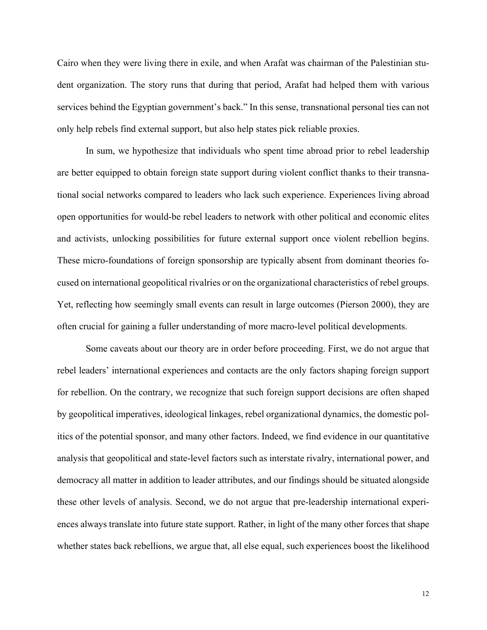Cairo when they were living there in exile, and when Arafat was chairman of the Palestinian student organization. The story runs that during that period, Arafat had helped them with various services behind the Egyptian government's back." In this sense, transnational personal ties can not only help rebels find external support, but also help states pick reliable proxies.

In sum, we hypothesize that individuals who spent time abroad prior to rebel leadership are better equipped to obtain foreign state support during violent conflict thanks to their transnational social networks compared to leaders who lack such experience. Experiences living abroad open opportunities for would-be rebel leaders to network with other political and economic elites and activists, unlocking possibilities for future external support once violent rebellion begins. These micro-foundations of foreign sponsorship are typically absent from dominant theories focused on international geopolitical rivalries or on the organizational characteristics of rebel groups. Yet, reflecting how seemingly small events can result in large outcomes (Pierson 2000), they are often crucial for gaining a fuller understanding of more macro-level political developments.

Some caveats about our theory are in order before proceeding. First, we do not argue that rebel leaders' international experiences and contacts are the only factors shaping foreign support for rebellion. On the contrary, we recognize that such foreign support decisions are often shaped by geopolitical imperatives, ideological linkages, rebel organizational dynamics, the domestic politics of the potential sponsor, and many other factors. Indeed, we find evidence in our quantitative analysis that geopolitical and state-level factors such as interstate rivalry, international power, and democracy all matter in addition to leader attributes, and our findings should be situated alongside these other levels of analysis. Second, we do not argue that pre-leadership international experiences always translate into future state support. Rather, in light of the many other forces that shape whether states back rebellions, we argue that, all else equal, such experiences boost the likelihood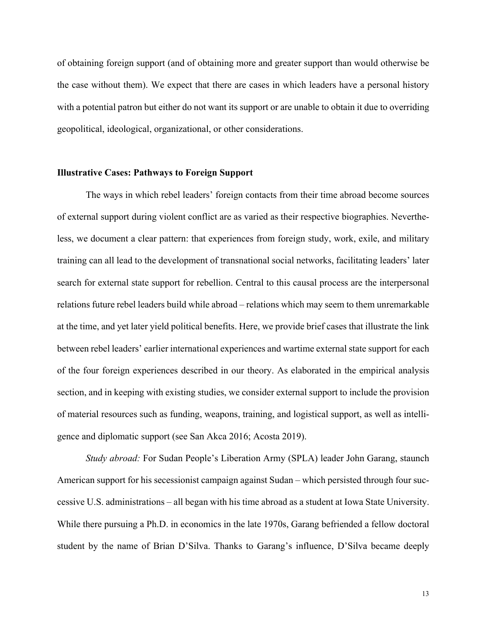of obtaining foreign support (and of obtaining more and greater support than would otherwise be the case without them). We expect that there are cases in which leaders have a personal history with a potential patron but either do not want its support or are unable to obtain it due to overriding geopolitical, ideological, organizational, or other considerations.

#### **Illustrative Cases: Pathways to Foreign Support**

The ways in which rebel leaders' foreign contacts from their time abroad become sources of external support during violent conflict are as varied as their respective biographies. Nevertheless, we document a clear pattern: that experiences from foreign study, work, exile, and military training can all lead to the development of transnational social networks, facilitating leaders' later search for external state support for rebellion. Central to this causal process are the interpersonal relations future rebel leaders build while abroad – relations which may seem to them unremarkable at the time, and yet later yield political benefits. Here, we provide brief cases that illustrate the link between rebel leaders' earlier international experiences and wartime external state support for each of the four foreign experiences described in our theory. As elaborated in the empirical analysis section, and in keeping with existing studies, we consider external support to include the provision of material resources such as funding, weapons, training, and logistical support, as well as intelligence and diplomatic support (see San Akca 2016; Acosta 2019).

*Study abroad:* For Sudan People's Liberation Army (SPLA) leader John Garang, staunch American support for his secessionist campaign against Sudan – which persisted through four successive U.S. administrations – all began with his time abroad as a student at Iowa State University. While there pursuing a Ph.D. in economics in the late 1970s, Garang befriended a fellow doctoral student by the name of Brian D'Silva. Thanks to Garang's influence, D'Silva became deeply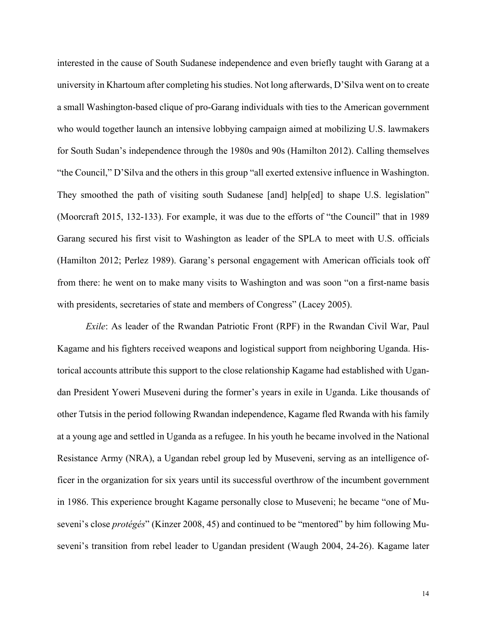interested in the cause of South Sudanese independence and even briefly taught with Garang at a university in Khartoum after completing his studies. Not long afterwards, D'Silva went on to create a small Washington-based clique of pro-Garang individuals with ties to the American government who would together launch an intensive lobbying campaign aimed at mobilizing U.S. lawmakers for South Sudan's independence through the 1980s and 90s (Hamilton 2012). Calling themselves "the Council," D'Silva and the others in this group "all exerted extensive influence in Washington. They smoothed the path of visiting south Sudanese [and] help[ed] to shape U.S. legislation" (Moorcraft 2015, 132-133). For example, it was due to the efforts of "the Council" that in 1989 Garang secured his first visit to Washington as leader of the SPLA to meet with U.S. officials (Hamilton 2012; Perlez 1989). Garang's personal engagement with American officials took off from there: he went on to make many visits to Washington and was soon "on a first-name basis with presidents, secretaries of state and members of Congress" (Lacey 2005).

*Exile*: As leader of the Rwandan Patriotic Front (RPF) in the Rwandan Civil War, Paul Kagame and his fighters received weapons and logistical support from neighboring Uganda. Historical accounts attribute this support to the close relationship Kagame had established with Ugandan President Yoweri Museveni during the former's years in exile in Uganda. Like thousands of other Tutsis in the period following Rwandan independence, Kagame fled Rwanda with his family at a young age and settled in Uganda as a refugee. In his youth he became involved in the National Resistance Army (NRA), a Ugandan rebel group led by Museveni, serving as an intelligence officer in the organization for six years until its successful overthrow of the incumbent government in 1986. This experience brought Kagame personally close to Museveni; he became "one of Museveni's close *protégés*" (Kinzer 2008, 45) and continued to be "mentored" by him following Museveni's transition from rebel leader to Ugandan president (Waugh 2004, 24-26). Kagame later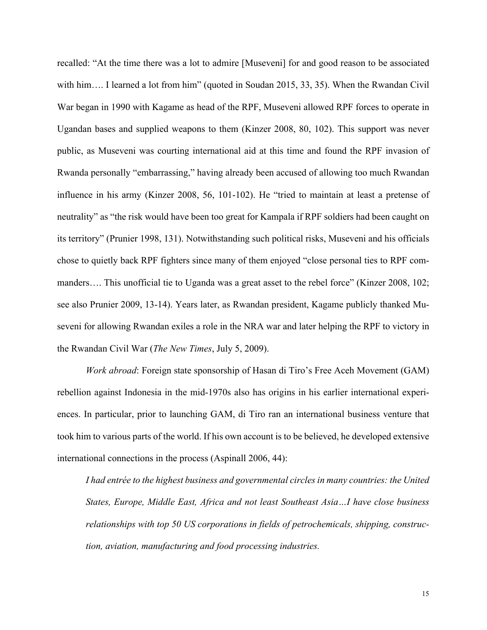recalled: "At the time there was a lot to admire [Museveni] for and good reason to be associated with him…. I learned a lot from him" (quoted in Soudan 2015, 33, 35). When the Rwandan Civil War began in 1990 with Kagame as head of the RPF, Museveni allowed RPF forces to operate in Ugandan bases and supplied weapons to them (Kinzer 2008, 80, 102). This support was never public, as Museveni was courting international aid at this time and found the RPF invasion of Rwanda personally "embarrassing," having already been accused of allowing too much Rwandan influence in his army (Kinzer 2008, 56, 101-102). He "tried to maintain at least a pretense of neutrality" as "the risk would have been too great for Kampala if RPF soldiers had been caught on its territory" (Prunier 1998, 131). Notwithstanding such political risks, Museveni and his officials chose to quietly back RPF fighters since many of them enjoyed "close personal ties to RPF commanders…. This unofficial tie to Uganda was a great asset to the rebel force" (Kinzer 2008, 102; see also Prunier 2009, 13-14). Years later, as Rwandan president, Kagame publicly thanked Museveni for allowing Rwandan exiles a role in the NRA war and later helping the RPF to victory in the Rwandan Civil War (*The New Times*, July 5, 2009).

*Work abroad*: Foreign state sponsorship of Hasan di Tiro's Free Aceh Movement (GAM) rebellion against Indonesia in the mid-1970s also has origins in his earlier international experiences. In particular, prior to launching GAM, di Tiro ran an international business venture that took him to various parts of the world. If his own account is to be believed, he developed extensive international connections in the process (Aspinall 2006, 44):

*I had entrée to the highest business and governmental circles in many countries: the United States, Europe, Middle East, Africa and not least Southeast Asia…I have close business relationships with top 50 US corporations in fields of petrochemicals, shipping, construction, aviation, manufacturing and food processing industries.*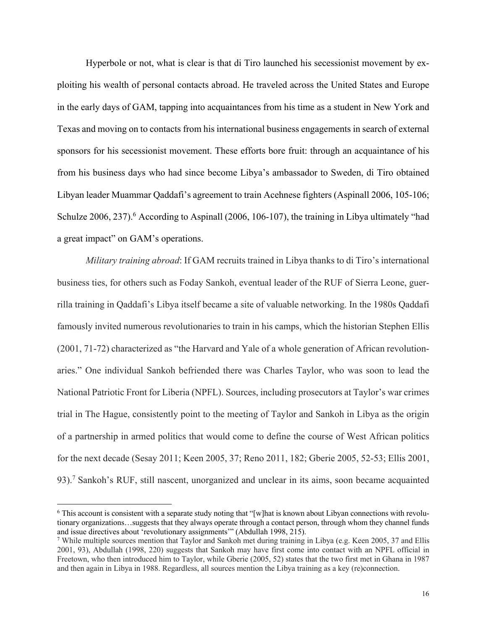Hyperbole or not, what is clear is that di Tiro launched his secessionist movement by exploiting his wealth of personal contacts abroad. He traveled across the United States and Europe in the early days of GAM, tapping into acquaintances from his time as a student in New York and Texas and moving on to contacts from his international business engagements in search of external sponsors for his secessionist movement. These efforts bore fruit: through an acquaintance of his from his business days who had since become Libya's ambassador to Sweden, di Tiro obtained Libyan leader Muammar Qaddafi's agreement to train Acehnese fighters (Aspinall 2006, 105-106; Schulze  $2006$ ,  $237$ ).<sup>6</sup> According to Aspinall (2006, 106-107), the training in Libya ultimately "had a great impact" on GAM's operations.

*Military training abroad*: If GAM recruits trained in Libya thanks to di Tiro's international business ties, for others such as Foday Sankoh, eventual leader of the RUF of Sierra Leone, guerrilla training in Qaddafi's Libya itself became a site of valuable networking. In the 1980s Qaddafi famously invited numerous revolutionaries to train in his camps, which the historian Stephen Ellis (2001, 71-72) characterized as "the Harvard and Yale of a whole generation of African revolutionaries." One individual Sankoh befriended there was Charles Taylor, who was soon to lead the National Patriotic Front for Liberia (NPFL). Sources, including prosecutors at Taylor's war crimes trial in The Hague, consistently point to the meeting of Taylor and Sankoh in Libya as the origin of a partnership in armed politics that would come to define the course of West African politics for the next decade (Sesay 2011; Keen 2005, 37; Reno 2011, 182; Gberie 2005, 52-53; Ellis 2001, 93).7 Sankoh's RUF, still nascent, unorganized and unclear in its aims, soon became acquainted

 $6$  This account is consistent with a separate study noting that "[w]hat is known about Libyan connections with revolutionary organizations…suggests that they always operate through a contact person, through whom they channel funds and issue directives about 'revolutionary assignments'" (Abdullah 1998, 215).

<sup>7</sup> While multiple sources mention that Taylor and Sankoh met during training in Libya (e.g. Keen 2005, 37 and Ellis 2001, 93), Abdullah (1998, 220) suggests that Sankoh may have first come into contact with an NPFL official in Freetown, who then introduced him to Taylor, while Gberie (2005, 52) states that the two first met in Ghana in 1987 and then again in Libya in 1988. Regardless, all sources mention the Libya training as a key (re)connection.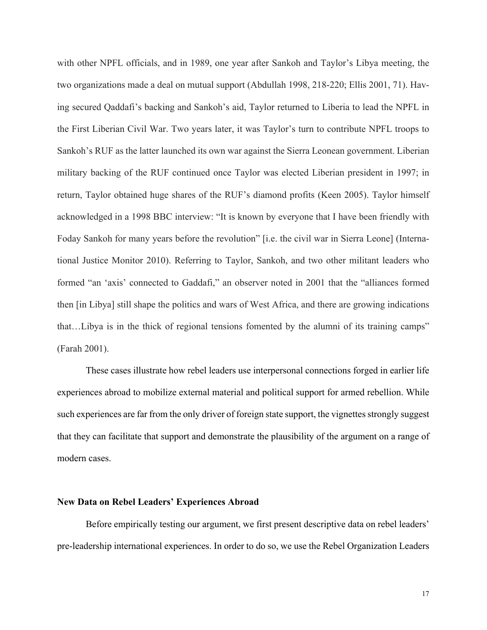with other NPFL officials, and in 1989, one year after Sankoh and Taylor's Libya meeting, the two organizations made a deal on mutual support (Abdullah 1998, 218-220; Ellis 2001, 71). Having secured Qaddafi's backing and Sankoh's aid, Taylor returned to Liberia to lead the NPFL in the First Liberian Civil War. Two years later, it was Taylor's turn to contribute NPFL troops to Sankoh's RUF as the latter launched its own war against the Sierra Leonean government. Liberian military backing of the RUF continued once Taylor was elected Liberian president in 1997; in return, Taylor obtained huge shares of the RUF's diamond profits (Keen 2005). Taylor himself acknowledged in a 1998 BBC interview: "It is known by everyone that I have been friendly with Foday Sankoh for many years before the revolution" [i.e. the civil war in Sierra Leone] (International Justice Monitor 2010). Referring to Taylor, Sankoh, and two other militant leaders who formed "an 'axis' connected to Gaddafi," an observer noted in 2001 that the "alliances formed then [in Libya] still shape the politics and wars of West Africa, and there are growing indications that…Libya is in the thick of regional tensions fomented by the alumni of its training camps" (Farah 2001).

These cases illustrate how rebel leaders use interpersonal connections forged in earlier life experiences abroad to mobilize external material and political support for armed rebellion. While such experiences are far from the only driver of foreign state support, the vignettes strongly suggest that they can facilitate that support and demonstrate the plausibility of the argument on a range of modern cases.

#### **New Data on Rebel Leaders' Experiences Abroad**

Before empirically testing our argument, we first present descriptive data on rebel leaders' pre-leadership international experiences. In order to do so, we use the Rebel Organization Leaders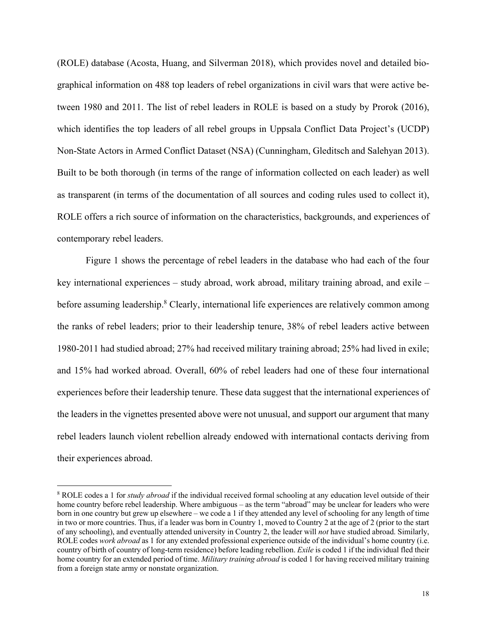(ROLE) database (Acosta, Huang, and Silverman 2018), which provides novel and detailed biographical information on 488 top leaders of rebel organizations in civil wars that were active between 1980 and 2011. The list of rebel leaders in ROLE is based on a study by Prorok (2016), which identifies the top leaders of all rebel groups in Uppsala Conflict Data Project's (UCDP) Non-State Actors in Armed Conflict Dataset (NSA) (Cunningham, Gleditsch and Salehyan 2013). Built to be both thorough (in terms of the range of information collected on each leader) as well as transparent (in terms of the documentation of all sources and coding rules used to collect it), ROLE offers a rich source of information on the characteristics, backgrounds, and experiences of contemporary rebel leaders.

Figure 1 shows the percentage of rebel leaders in the database who had each of the four key international experiences – study abroad, work abroad, military training abroad, and exile – before assuming leadership.<sup>8</sup> Clearly, international life experiences are relatively common among the ranks of rebel leaders; prior to their leadership tenure, 38% of rebel leaders active between 1980-2011 had studied abroad; 27% had received military training abroad; 25% had lived in exile; and 15% had worked abroad. Overall, 60% of rebel leaders had one of these four international experiences before their leadership tenure. These data suggest that the international experiences of the leaders in the vignettes presented above were not unusual, and support our argument that many rebel leaders launch violent rebellion already endowed with international contacts deriving from their experiences abroad.

<sup>8</sup> ROLE codes a 1 for *study abroad* if the individual received formal schooling at any education level outside of their home country before rebel leadership. Where ambiguous – as the term "abroad" may be unclear for leaders who were born in one country but grew up elsewhere – we code a 1 if they attended any level of schooling for any length of time in two or more countries. Thus, if a leader was born in Country 1, moved to Country 2 at the age of 2 (prior to the start of any schooling), and eventually attended university in Country 2, the leader will *not* have studied abroad. Similarly, ROLE codes *work abroad* as 1 for any extended professional experience outside of the individual's home country (i.e. country of birth of country of long-term residence) before leading rebellion. *Exile* is coded 1 if the individual fled their home country for an extended period of time. *Military training abroad* is coded 1 for having received military training from a foreign state army or nonstate organization.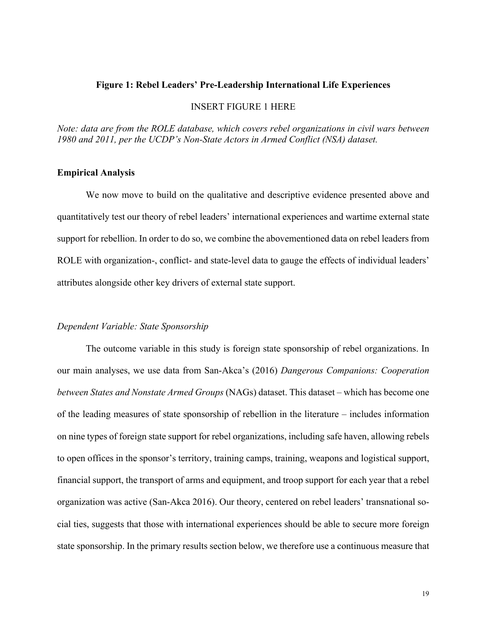#### **Figure 1: Rebel Leaders' Pre-Leadership International Life Experiences**

#### INSERT FIGURE 1 HERE

*Note: data are from the ROLE database, which covers rebel organizations in civil wars between 1980 and 2011, per the UCDP's Non-State Actors in Armed Conflict (NSA) dataset.*

#### **Empirical Analysis**

We now move to build on the qualitative and descriptive evidence presented above and quantitatively test our theory of rebel leaders' international experiences and wartime external state support for rebellion. In order to do so, we combine the abovementioned data on rebel leaders from ROLE with organization-, conflict- and state-level data to gauge the effects of individual leaders' attributes alongside other key drivers of external state support.

#### *Dependent Variable: State Sponsorship*

The outcome variable in this study is foreign state sponsorship of rebel organizations. In our main analyses, we use data from San-Akca's (2016) *Dangerous Companions: Cooperation between States and Nonstate Armed Groups* (NAGs) dataset. This dataset – which has become one of the leading measures of state sponsorship of rebellion in the literature – includes information on nine types of foreign state support for rebel organizations, including safe haven, allowing rebels to open offices in the sponsor's territory, training camps, training, weapons and logistical support, financial support, the transport of arms and equipment, and troop support for each year that a rebel organization was active (San-Akca 2016). Our theory, centered on rebel leaders' transnational social ties, suggests that those with international experiences should be able to secure more foreign state sponsorship. In the primary results section below, we therefore use a continuous measure that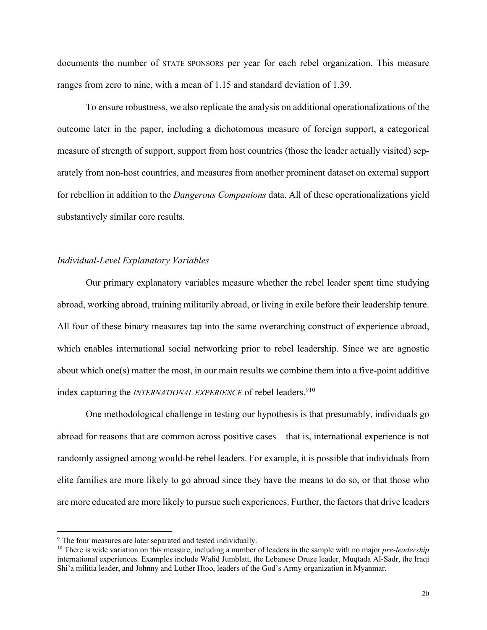documents the number of STATE SPONSORS per year for each rebel organization. This measure ranges from zero to nine, with a mean of 1.15 and standard deviation of 1.39.

To ensure robustness, we also replicate the analysis on additional operationalizations of the outcome later in the paper, including a dichotomous measure of foreign support, a categorical measure of strength of support, support from host countries (those the leader actually visited) separately from non-host countries, and measures from another prominent dataset on external support for rebellion in addition to the *Dangerous Companions* data. All of these operationalizations yield substantively similar core results.

#### *Individual-Level Explanatory Variables*

Our primary explanatory variables measure whether the rebel leader spent time studying abroad, working abroad, training militarily abroad, or living in exile before their leadership tenure. All four of these binary measures tap into the same overarching construct of experience abroad, which enables international social networking prior to rebel leadership. Since we are agnostic about which one(s) matter the most, in our main results we combine them into a five-point additive index capturing the *INTERNATIONAL EXPERIENCE* of rebel leaders.<sup>910</sup>

One methodological challenge in testing our hypothesis is that presumably, individuals go abroad for reasons that are common across positive cases – that is, international experience is not randomly assigned among would-be rebel leaders. For example, it is possible that individuals from elite families are more likely to go abroad since they have the means to do so, or that those who are more educated are more likely to pursue such experiences. Further, the factors that drive leaders

<sup>&</sup>lt;sup>9</sup> The four measures are later separated and tested individually.

<sup>&</sup>lt;sup>10</sup> There is wide variation on this measure, including a number of leaders in the sample with no major *pre-leadership* international experiences. Examples include Walid Jumblatt, the Lebanese Druze leader, Muqtada Al-Sadr, the Iraqi Shi'a militia leader, and Johnny and Luther Htoo, leaders of the God's Army organization in Myanmar.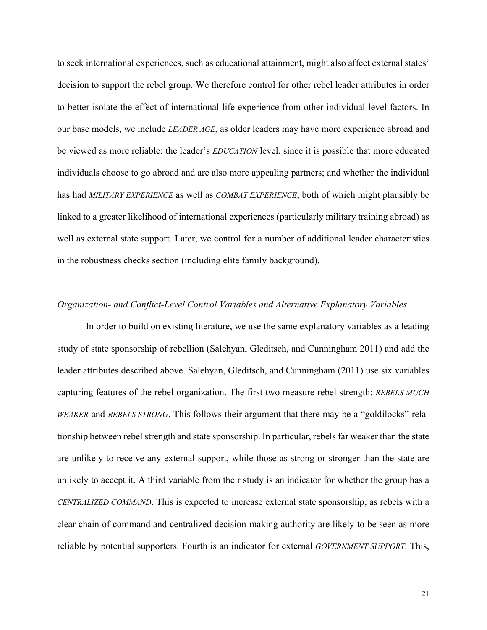to seek international experiences, such as educational attainment, might also affect external states' decision to support the rebel group. We therefore control for other rebel leader attributes in order to better isolate the effect of international life experience from other individual-level factors. In our base models, we include *LEADER AGE*, as older leaders may have more experience abroad and be viewed as more reliable; the leader's *EDUCATION* level, since it is possible that more educated individuals choose to go abroad and are also more appealing partners; and whether the individual has had *MILITARY EXPERIENCE* as well as *COMBAT EXPERIENCE*, both of which might plausibly be linked to a greater likelihood of international experiences (particularly military training abroad) as well as external state support. Later, we control for a number of additional leader characteristics in the robustness checks section (including elite family background).

#### *Organization- and Conflict-Level Control Variables and Alternative Explanatory Variables*

In order to build on existing literature, we use the same explanatory variables as a leading study of state sponsorship of rebellion (Salehyan, Gleditsch, and Cunningham 2011) and add the leader attributes described above. Salehyan, Gleditsch, and Cunningham (2011) use six variables capturing features of the rebel organization. The first two measure rebel strength: *REBELS MUCH WEAKER* and *REBELS STRONG*. This follows their argument that there may be a "goldilocks" relationship between rebel strength and state sponsorship. In particular, rebels far weaker than the state are unlikely to receive any external support, while those as strong or stronger than the state are unlikely to accept it. A third variable from their study is an indicator for whether the group has a *CENTRALIZED COMMAND*. This is expected to increase external state sponsorship, as rebels with a clear chain of command and centralized decision-making authority are likely to be seen as more reliable by potential supporters. Fourth is an indicator for external *GOVERNMENT SUPPORT*. This,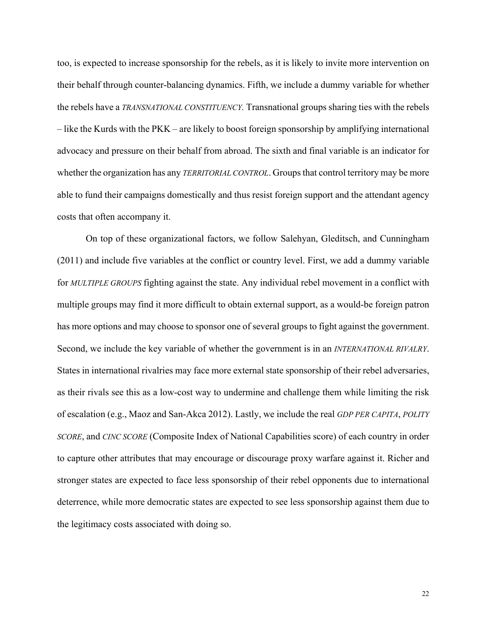too, is expected to increase sponsorship for the rebels, as it is likely to invite more intervention on their behalf through counter-balancing dynamics. Fifth, we include a dummy variable for whether the rebels have a *TRANSNATIONAL CONSTITUENCY.* Transnational groups sharing ties with the rebels – like the Kurds with the PKK – are likely to boost foreign sponsorship by amplifying international advocacy and pressure on their behalf from abroad. The sixth and final variable is an indicator for whether the organization has any *TERRITORIAL CONTROL*. Groups that control territory may be more able to fund their campaigns domestically and thus resist foreign support and the attendant agency costs that often accompany it.

On top of these organizational factors, we follow Salehyan, Gleditsch, and Cunningham (2011) and include five variables at the conflict or country level. First, we add a dummy variable for *MULTIPLE GROUPS* fighting against the state. Any individual rebel movement in a conflict with multiple groups may find it more difficult to obtain external support, as a would-be foreign patron has more options and may choose to sponsor one of several groups to fight against the government. Second, we include the key variable of whether the government is in an *INTERNATIONAL RIVALRY*. States in international rivalries may face more external state sponsorship of their rebel adversaries, as their rivals see this as a low-cost way to undermine and challenge them while limiting the risk of escalation (e.g., Maoz and San-Akca 2012). Lastly, we include the real *GDP PER CAPITA*, *POLITY SCORE*, and *CINC SCORE* (Composite Index of National Capabilities score) of each country in order to capture other attributes that may encourage or discourage proxy warfare against it. Richer and stronger states are expected to face less sponsorship of their rebel opponents due to international deterrence, while more democratic states are expected to see less sponsorship against them due to the legitimacy costs associated with doing so.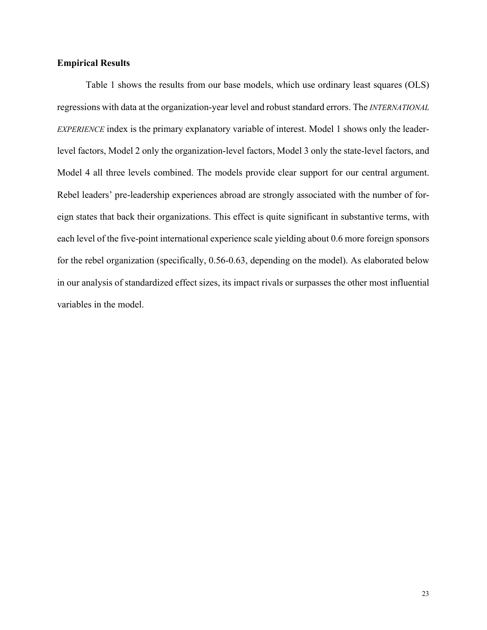#### **Empirical Results**

Table 1 shows the results from our base models, which use ordinary least squares (OLS) regressions with data at the organization-year level and robust standard errors. The *INTERNATIONAL EXPERIENCE* index is the primary explanatory variable of interest. Model 1 shows only the leaderlevel factors, Model 2 only the organization-level factors, Model 3 only the state-level factors, and Model 4 all three levels combined. The models provide clear support for our central argument. Rebel leaders' pre-leadership experiences abroad are strongly associated with the number of foreign states that back their organizations. This effect is quite significant in substantive terms, with each level of the five-point international experience scale yielding about 0.6 more foreign sponsors for the rebel organization (specifically, 0.56-0.63, depending on the model). As elaborated below in our analysis of standardized effect sizes, its impact rivals or surpasses the other most influential variables in the model.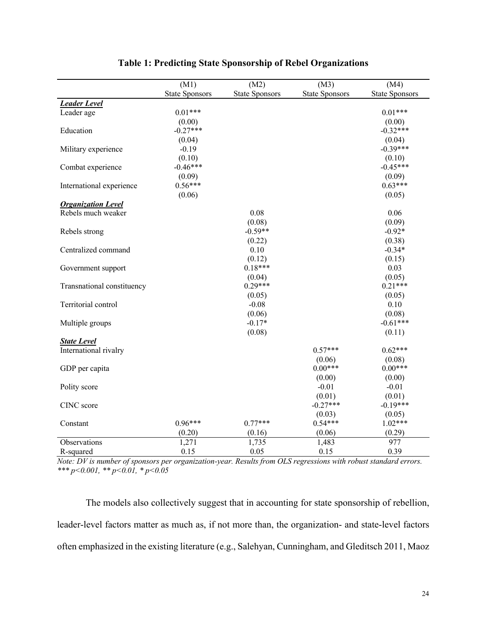|                            | (M1)                  | (M2)                  | (M3)                  | (M4)                  |
|----------------------------|-----------------------|-----------------------|-----------------------|-----------------------|
|                            | <b>State Sponsors</b> | <b>State Sponsors</b> | <b>State Sponsors</b> | <b>State Sponsors</b> |
| <b>Leader Level</b>        |                       |                       |                       |                       |
| Leader age                 | $0.01***$             |                       |                       | $0.01***$             |
|                            | (0.00)                |                       |                       | (0.00)                |
| Education                  | $-0.27***$            |                       |                       | $-0.32***$            |
|                            | (0.04)                |                       |                       | (0.04)                |
| Military experience        | $-0.19$               |                       |                       | $-0.39***$            |
|                            | (0.10)                |                       |                       | (0.10)                |
| Combat experience          | $-0.46***$            |                       |                       | $-0.45***$            |
|                            | (0.09)                |                       |                       | (0.09)                |
| International experience   | $0.56***$             |                       |                       | $0.63***$             |
|                            | (0.06)                |                       |                       | (0.05)                |
| <b>Organization Level</b>  |                       |                       |                       |                       |
| Rebels much weaker         |                       | 0.08                  |                       | 0.06                  |
|                            |                       | (0.08)                |                       | (0.09)                |
| Rebels strong              |                       | $-0.59**$             |                       | $-0.92*$              |
|                            |                       | (0.22)                |                       | (0.38)                |
| Centralized command        |                       | 0.10                  |                       | $-0.34*$              |
|                            |                       | (0.12)                |                       | (0.15)                |
| Government support         |                       | $0.18***$             |                       | 0.03                  |
|                            |                       | (0.04)                |                       | (0.05)                |
| Transnational constituency |                       | $0.29***$             |                       | $0.21***$             |
|                            |                       | (0.05)                |                       | (0.05)                |
| Territorial control        |                       | $-0.08$               |                       | 0.10                  |
|                            |                       | (0.06)                |                       | (0.08)                |
| Multiple groups            |                       | $-0.17*$              |                       | $-0.61***$            |
|                            |                       | (0.08)                |                       | (0.11)                |
| <b>State Level</b>         |                       |                       |                       |                       |
| International rivalry      |                       |                       | $0.57***$             | $0.62***$             |
|                            |                       |                       | (0.06)                | (0.08)                |
| GDP per capita             |                       |                       | $0.00***$             | $0.00***$             |
|                            |                       |                       | (0.00)                | (0.00)                |
| Polity score               |                       |                       | $-0.01$               | $-0.01$               |
|                            |                       |                       | (0.01)                | (0.01)                |
| CINC score                 |                       |                       | $-0.27***$            | $-0.19***$            |
|                            |                       |                       | (0.03)                | (0.05)                |
| Constant                   | $0.96***$             | $0.77***$             | $0.54***$             | $1.02***$             |
|                            | (0.20)                | (0.16)                | (0.06)                | (0.29)                |
| Observations               | 1,271                 | 1,735                 | 1,483                 | 977                   |
| R-squared                  | 0.15                  | 0.05                  | 0.15                  | 0.39                  |

## **Table 1: Predicting State Sponsorship of Rebel Organizations**

*Note: DV is number of sponsors per organization-year. Results from OLS regressions with robust standard errors. \*\*\* p<0.001, \*\* p<0.01, \* p<0.05*

The models also collectively suggest that in accounting for state sponsorship of rebellion, leader-level factors matter as much as, if not more than, the organization- and state-level factors often emphasized in the existing literature (e.g., Salehyan, Cunningham, and Gleditsch 2011, Maoz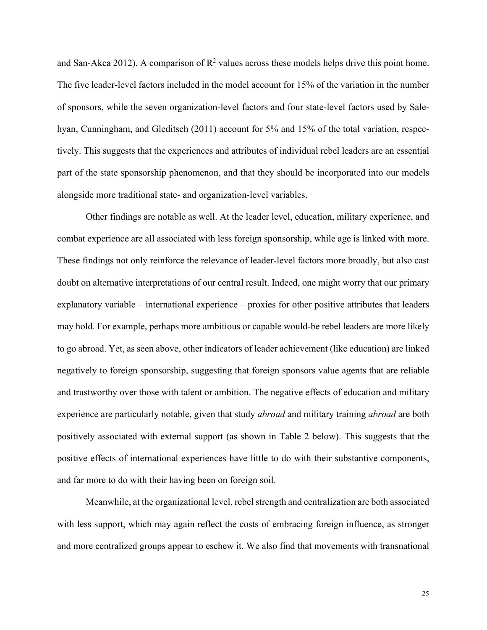and San-Akca 2012). A comparison of  $\mathbb{R}^2$  values across these models helps drive this point home. The five leader-level factors included in the model account for 15% of the variation in the number of sponsors, while the seven organization-level factors and four state-level factors used by Salehyan, Cunningham, and Gleditsch (2011) account for 5% and 15% of the total variation, respectively. This suggests that the experiences and attributes of individual rebel leaders are an essential part of the state sponsorship phenomenon, and that they should be incorporated into our models alongside more traditional state- and organization-level variables.

Other findings are notable as well. At the leader level, education, military experience, and combat experience are all associated with less foreign sponsorship, while age is linked with more. These findings not only reinforce the relevance of leader-level factors more broadly, but also cast doubt on alternative interpretations of our central result. Indeed, one might worry that our primary explanatory variable – international experience – proxies for other positive attributes that leaders may hold. For example, perhaps more ambitious or capable would-be rebel leaders are more likely to go abroad. Yet, as seen above, other indicators of leader achievement (like education) are linked negatively to foreign sponsorship, suggesting that foreign sponsors value agents that are reliable and trustworthy over those with talent or ambition. The negative effects of education and military experience are particularly notable, given that study *abroad* and military training *abroad* are both positively associated with external support (as shown in Table 2 below). This suggests that the positive effects of international experiences have little to do with their substantive components, and far more to do with their having been on foreign soil.

Meanwhile, at the organizational level, rebel strength and centralization are both associated with less support, which may again reflect the costs of embracing foreign influence, as stronger and more centralized groups appear to eschew it. We also find that movements with transnational

25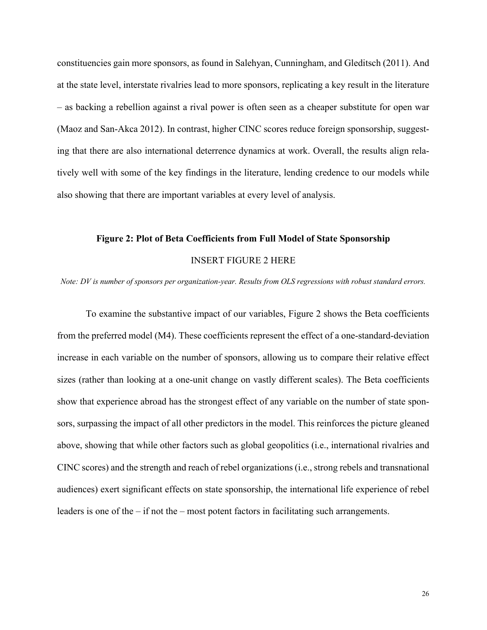constituencies gain more sponsors, as found in Salehyan, Cunningham, and Gleditsch (2011). And at the state level, interstate rivalries lead to more sponsors, replicating a key result in the literature – as backing a rebellion against a rival power is often seen as a cheaper substitute for open war (Maoz and San-Akca 2012). In contrast, higher CINC scores reduce foreign sponsorship, suggesting that there are also international deterrence dynamics at work. Overall, the results align relatively well with some of the key findings in the literature, lending credence to our models while also showing that there are important variables at every level of analysis.

# **Figure 2: Plot of Beta Coefficients from Full Model of State Sponsorship** INSERT FIGURE 2 HERE

*Note: DV is number of sponsors per organization-year. Results from OLS regressions with robust standard errors.*

To examine the substantive impact of our variables, Figure 2 shows the Beta coefficients from the preferred model (M4). These coefficients represent the effect of a one-standard-deviation increase in each variable on the number of sponsors, allowing us to compare their relative effect sizes (rather than looking at a one-unit change on vastly different scales). The Beta coefficients show that experience abroad has the strongest effect of any variable on the number of state sponsors, surpassing the impact of all other predictors in the model. This reinforces the picture gleaned above, showing that while other factors such as global geopolitics (i.e., international rivalries and CINC scores) and the strength and reach of rebel organizations (i.e., strong rebels and transnational audiences) exert significant effects on state sponsorship, the international life experience of rebel leaders is one of the – if not the – most potent factors in facilitating such arrangements.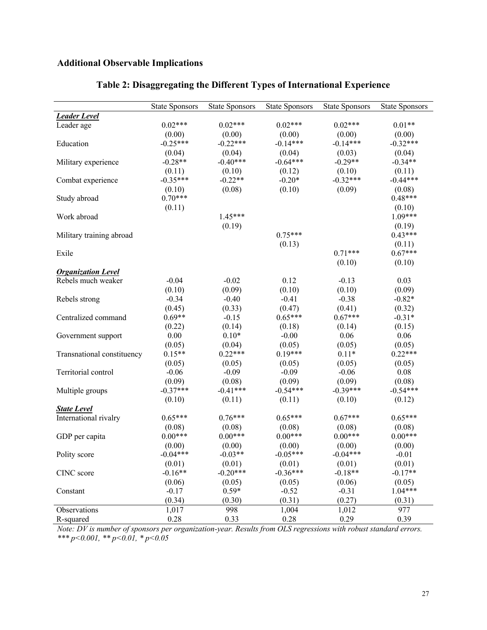## **Additional Observable Implications**

|                            | <b>State Sponsors</b> | <b>State Sponsors</b> | <b>State Sponsors</b> | <b>State Sponsors</b> | <b>State Sponsors</b> |
|----------------------------|-----------------------|-----------------------|-----------------------|-----------------------|-----------------------|
| <b>Leader Level</b>        |                       |                       |                       |                       |                       |
| Leader age                 | $0.02***$             | $0.02***$             | $0.02***$             | $0.02***$             | $0.01**$              |
|                            | (0.00)                | (0.00)                | (0.00)                | (0.00)                | (0.00)                |
| Education                  | $-0.25***$            | $-0.22***$            | $-0.14***$            | $-0.14***$            | $-0.32***$            |
|                            | (0.04)                | (0.04)                | (0.04)                | (0.03)                | (0.04)                |
| Military experience        | $-0.28**$             | $-0.40***$            | $-0.64***$            | $-0.29**$             | $-0.34**$             |
|                            | (0.11)                | (0.10)                | (0.12)                | (0.10)                | (0.11)                |
| Combat experience          | $-0.35***$            | $-0.22**$             | $-0.20*$              | $-0.32***$            | $-0.44***$            |
|                            | (0.10)                | (0.08)                | (0.10)                | (0.09)                | (0.08)                |
| Study abroad               | $0.70***$             |                       |                       |                       | $0.48***$             |
|                            | (0.11)                |                       |                       |                       | (0.10)                |
| Work abroad                |                       | $1.45***$             |                       |                       | $1.09***$             |
|                            |                       | (0.19)                |                       |                       | (0.19)                |
| Military training abroad   |                       |                       | $0.75***$             |                       | $0.43***$             |
|                            |                       |                       | (0.13)                |                       | (0.11)                |
| Exile                      |                       |                       |                       | $0.71***$             | $0.67***$             |
|                            |                       |                       |                       | (0.10)                | (0.10)                |
| <b>Organization Level</b>  |                       |                       |                       |                       |                       |
| Rebels much weaker         | $-0.04$               | $-0.02$               | 0.12                  | $-0.13$               | 0.03                  |
|                            | (0.10)                | (0.09)                | (0.10)                | (0.10)                | (0.09)                |
| Rebels strong              | $-0.34$               | $-0.40$               | $-0.41$               | $-0.38$               | $-0.82*$              |
|                            | (0.45)                | (0.33)                | (0.47)                | (0.41)                | (0.32)                |
| Centralized command        | $0.69**$              | $-0.15$               | $0.65***$             | $0.67***$             | $-0.31*$              |
|                            | (0.22)                | (0.14)                | (0.18)                | (0.14)                | (0.15)                |
| Government support         | 0.00                  | $0.10*$               | $-0.00$               | 0.06                  | 0.06                  |
|                            | (0.05)                | (0.04)                | (0.05)                | (0.05)                | (0.05)                |
| Transnational constituency | $0.15**$              | $0.22***$             | $0.19***$             | $0.11*$               | $0.22***$             |
|                            | (0.05)                | (0.05)                | (0.05)                | (0.05)                | (0.05)                |
| Territorial control        | $-0.06$               | $-0.09$               | $-0.09$               | $-0.06$               | $0.08\,$              |
|                            | (0.09)                | (0.08)                | (0.09)                | (0.09)                | (0.08)                |
| Multiple groups            | $-0.37***$            | $-0.41***$            | $-0.54***$            | $-0.39***$            | $-0.54***$            |
|                            | (0.10)                | (0.11)                | (0.11)                | (0.10)                | (0.12)                |
| <b>State Level</b>         | $0.65***$             | $0.76***$             | $0.65***$             | $0.67***$             | $0.65***$             |
| International rivalry      |                       |                       |                       |                       |                       |
|                            | (0.08)<br>$0.00***$   | (0.08)<br>$0.00***$   | (0.08)<br>$0.00***$   | (0.08)<br>$0.00***$   | (0.08)<br>$0.00***$   |
| GDP per capita             |                       |                       |                       | (0.00)                |                       |
|                            | (0.00)<br>$-0.04***$  | (0.00)<br>$-0.03**$   | (0.00)<br>$-0.05***$  | $-0.04***$            | (0.00)                |
| Polity score               |                       |                       |                       |                       | $-0.01$               |
|                            | (0.01)<br>$-0.16**$   | (0.01)<br>$-0.20***$  | (0.01)<br>$-0.36***$  | (0.01)<br>$-0.18**$   | (0.01)<br>$-0.17**$   |
| CINC score                 |                       | (0.05)                |                       | (0.06)                |                       |
| Constant                   | (0.06)<br>$-0.17$     | $0.59*$               | (0.05)<br>$-0.52$     | $-0.31$               | (0.05)<br>$1.04***$   |
|                            | (0.34)                | (0.30)                | (0.31)                | (0.27)                | (0.31)                |
|                            | 1,017                 | 998                   | 1,004                 | 1,012                 | 977                   |
| Observations<br>R-squared  | 0.28                  | 0.33                  | 0.28                  | 0.29                  | 0.39                  |
|                            |                       |                       |                       |                       |                       |

### **Table 2: Disaggregating the Different Types of International Experience**

*Note: DV is number of sponsors per organization-year. Results from OLS regressions with robust standard errors. \*\*\* p<0.001, \*\* p<0.01, \* p<0.05*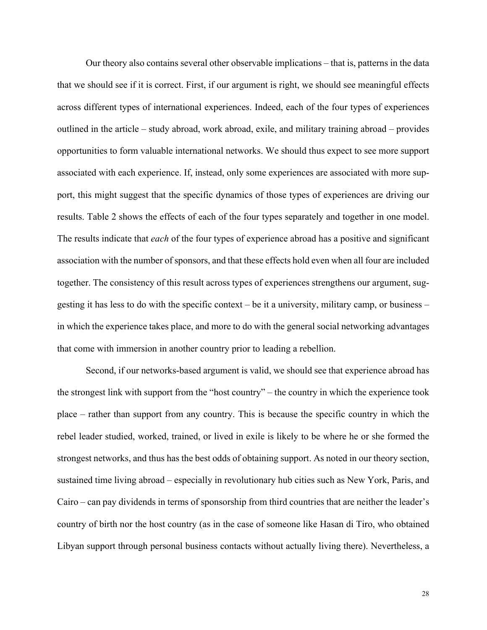Our theory also contains several other observable implications – that is, patterns in the data that we should see if it is correct. First, if our argument is right, we should see meaningful effects across different types of international experiences. Indeed, each of the four types of experiences outlined in the article – study abroad, work abroad, exile, and military training abroad – provides opportunities to form valuable international networks. We should thus expect to see more support associated with each experience. If, instead, only some experiences are associated with more support, this might suggest that the specific dynamics of those types of experiences are driving our results. Table 2 shows the effects of each of the four types separately and together in one model. The results indicate that *each* of the four types of experience abroad has a positive and significant association with the number of sponsors, and that these effects hold even when all four are included together. The consistency of this result across types of experiences strengthens our argument, suggesting it has less to do with the specific context – be it a university, military camp, or business – in which the experience takes place, and more to do with the general social networking advantages that come with immersion in another country prior to leading a rebellion.

Second, if our networks-based argument is valid, we should see that experience abroad has the strongest link with support from the "host country" – the country in which the experience took place – rather than support from any country. This is because the specific country in which the rebel leader studied, worked, trained, or lived in exile is likely to be where he or she formed the strongest networks, and thus has the best odds of obtaining support. As noted in our theory section, sustained time living abroad – especially in revolutionary hub cities such as New York, Paris, and Cairo – can pay dividends in terms of sponsorship from third countries that are neither the leader's country of birth nor the host country (as in the case of someone like Hasan di Tiro, who obtained Libyan support through personal business contacts without actually living there). Nevertheless, a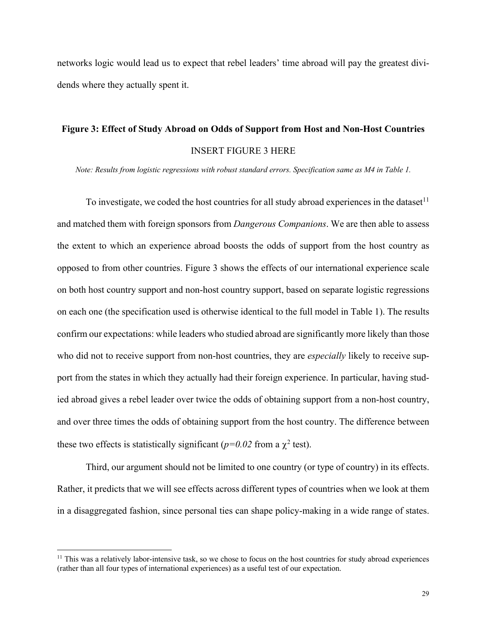networks logic would lead us to expect that rebel leaders' time abroad will pay the greatest dividends where they actually spent it.

# **Figure 3: Effect of Study Abroad on Odds of Support from Host and Non-Host Countries** INSERT FIGURE 3 HERE

*Note: Results from logistic regressions with robust standard errors. Specification same as M4 in Table 1.*

To investigate, we coded the host countries for all study abroad experiences in the dataset<sup>11</sup> and matched them with foreign sponsors from *Dangerous Companions*. We are then able to assess the extent to which an experience abroad boosts the odds of support from the host country as opposed to from other countries. Figure 3 shows the effects of our international experience scale on both host country support and non-host country support, based on separate logistic regressions on each one (the specification used is otherwise identical to the full model in Table 1). The results confirm our expectations: while leaders who studied abroad are significantly more likely than those who did not to receive support from non-host countries, they are *especially* likely to receive support from the states in which they actually had their foreign experience. In particular, having studied abroad gives a rebel leader over twice the odds of obtaining support from a non-host country, and over three times the odds of obtaining support from the host country. The difference between these two effects is statistically significant ( $p=0.02$  from a  $\chi^2$  test).

Third, our argument should not be limited to one country (or type of country) in its effects. Rather, it predicts that we will see effects across different types of countries when we look at them in a disaggregated fashion, since personal ties can shape policy-making in a wide range of states.

<sup>&</sup>lt;sup>11</sup> This was a relatively labor-intensive task, so we chose to focus on the host countries for study abroad experiences (rather than all four types of international experiences) as a useful test of our expectation.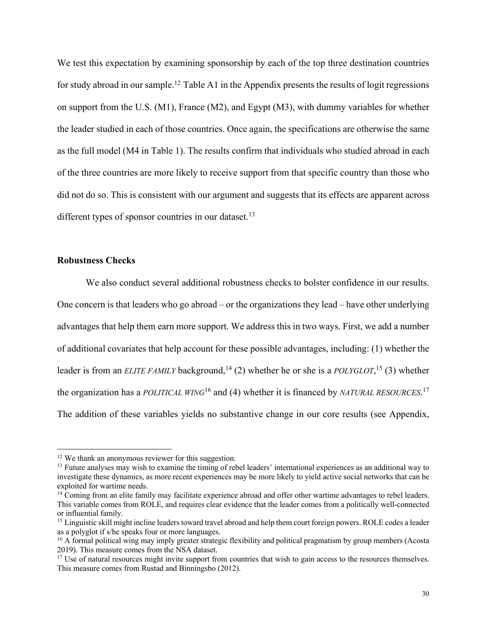We test this expectation by examining sponsorship by each of the top three destination countries for study abroad in our sample.<sup>12</sup> Table A1 in the Appendix presents the results of logit regressions on support from the U.S. (M1), France (M2), and Egypt (M3), with dummy variables for whether the leader studied in each of those countries. Once again, the specifications are otherwise the same as the full model (M4 in Table 1). The results confirm that individuals who studied abroad in each of the three countries are more likely to receive support from that specific country than those who did not do so. This is consistent with our argument and suggests that its effects are apparent across different types of sponsor countries in our dataset.<sup>13</sup>

#### **Robustness Checks**

We also conduct several additional robustness checks to bolster confidence in our results. One concern is that leaders who go abroad – or the organizations they lead – have other underlying advantages that help them earn more support. We address this in two ways. First, we add a number of additional covariates that help account for these possible advantages, including: (1) whether the leader is from an *ELITE FAMILY* background,<sup>14</sup> (2) whether he or she is a *POLYGLOT*,<sup>15</sup> (3) whether the organization has a *POLITICAL WING*<sup>16</sup> and (4) whether it is financed by *NATURAL RESOURCES*. 17 The addition of these variables yields no substantive change in our core results (see Appendix,

<sup>&</sup>lt;sup>12</sup> We thank an anonymous reviewer for this suggestion.

<sup>&</sup>lt;sup>13</sup> Future analyses may wish to examine the timing of rebel leaders' international experiences as an additional way to investigate these dynamics, as more recent experiences may be more likely to yield active social networks that can be exploited for wartime needs.

 $14$  Coming from an elite family may facilitate experience abroad and offer other wartime advantages to rebel leaders. This variable comes from ROLE, and requires clear evidence that the leader comes from a politically well-connected or influential family.

<sup>&</sup>lt;sup>15</sup> Linguistic skill might incline leaders toward travel abroad and help them court foreign powers. ROLE codes a leader as a polyglot if s/he speaks four or more languages.

<sup>&</sup>lt;sup>16</sup> A formal political wing may imply greater strategic flexibility and political pragmatism by group members (Acosta 2019). This measure comes from the NSA dataset.

<sup>&</sup>lt;sup>17</sup> Use of natural resources might invite support from countries that wish to gain access to the resources themselves. This measure comes from Rustad and Binningsbo (2012).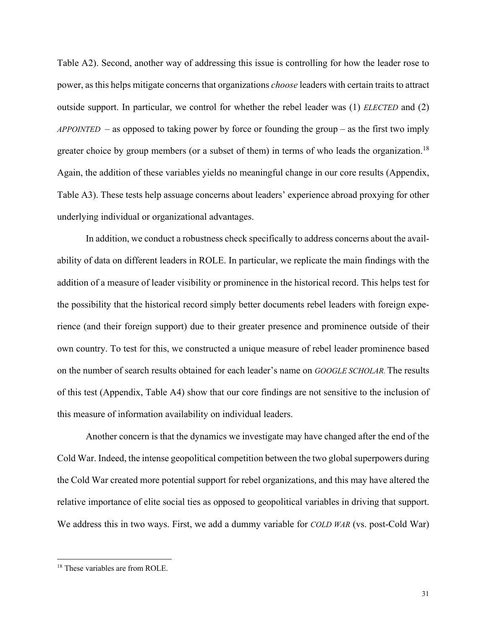Table A2). Second, another way of addressing this issue is controlling for how the leader rose to power, as this helps mitigate concerns that organizations *choose* leaders with certain traits to attract outside support. In particular, we control for whether the rebel leader was (1) *ELECTED* and (2) *APPOINTED* – as opposed to taking power by force or founding the group – as the first two imply greater choice by group members (or a subset of them) in terms of who leads the organization.<sup>18</sup> Again, the addition of these variables yields no meaningful change in our core results (Appendix, Table A3). These tests help assuage concerns about leaders' experience abroad proxying for other underlying individual or organizational advantages.

In addition, we conduct a robustness check specifically to address concerns about the availability of data on different leaders in ROLE. In particular, we replicate the main findings with the addition of a measure of leader visibility or prominence in the historical record. This helps test for the possibility that the historical record simply better documents rebel leaders with foreign experience (and their foreign support) due to their greater presence and prominence outside of their own country. To test for this, we constructed a unique measure of rebel leader prominence based on the number of search results obtained for each leader's name on *GOOGLE SCHOLAR*. The results of this test (Appendix, Table A4) show that our core findings are not sensitive to the inclusion of this measure of information availability on individual leaders.

Another concern is that the dynamics we investigate may have changed after the end of the Cold War. Indeed, the intense geopolitical competition between the two global superpowers during the Cold War created more potential support for rebel organizations, and this may have altered the relative importance of elite social ties as opposed to geopolitical variables in driving that support. We address this in two ways. First, we add a dummy variable for *COLD WAR* (vs. post-Cold War)

<sup>&</sup>lt;sup>18</sup> These variables are from ROLE.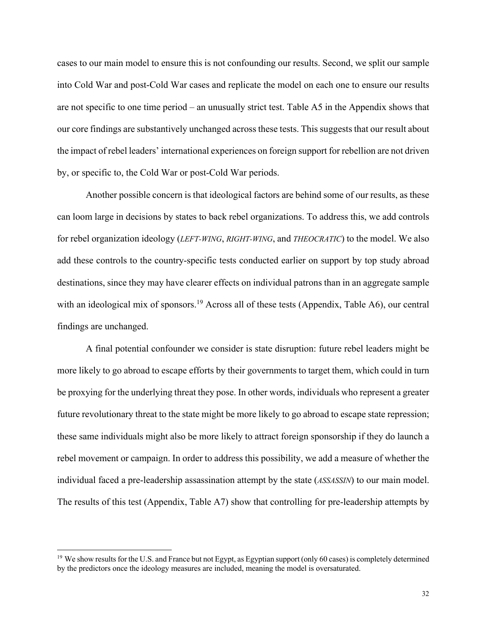cases to our main model to ensure this is not confounding our results. Second, we split our sample into Cold War and post-Cold War cases and replicate the model on each one to ensure our results are not specific to one time period – an unusually strict test. Table A5 in the Appendix shows that our core findings are substantively unchanged across these tests. This suggests that our result about the impact of rebel leaders' international experiences on foreign support for rebellion are not driven by, or specific to, the Cold War or post-Cold War periods.

Another possible concern is that ideological factors are behind some of our results, as these can loom large in decisions by states to back rebel organizations. To address this, we add controls for rebel organization ideology (*LEFT-WING*, *RIGHT-WING*, and *THEOCRATIC*) to the model. We also add these controls to the country-specific tests conducted earlier on support by top study abroad destinations, since they may have clearer effects on individual patrons than in an aggregate sample with an ideological mix of sponsors.<sup>19</sup> Across all of these tests (Appendix, Table A6), our central findings are unchanged.

A final potential confounder we consider is state disruption: future rebel leaders might be more likely to go abroad to escape efforts by their governments to target them, which could in turn be proxying for the underlying threat they pose. In other words, individuals who represent a greater future revolutionary threat to the state might be more likely to go abroad to escape state repression; these same individuals might also be more likely to attract foreign sponsorship if they do launch a rebel movement or campaign. In order to address this possibility, we add a measure of whether the individual faced a pre-leadership assassination attempt by the state (*ASSASSIN*) to our main model. The results of this test (Appendix, Table A7) show that controlling for pre-leadership attempts by

<sup>&</sup>lt;sup>19</sup> We show results for the U.S. and France but not Egypt, as Egyptian support (only 60 cases) is completely determined by the predictors once the ideology measures are included, meaning the model is oversaturated.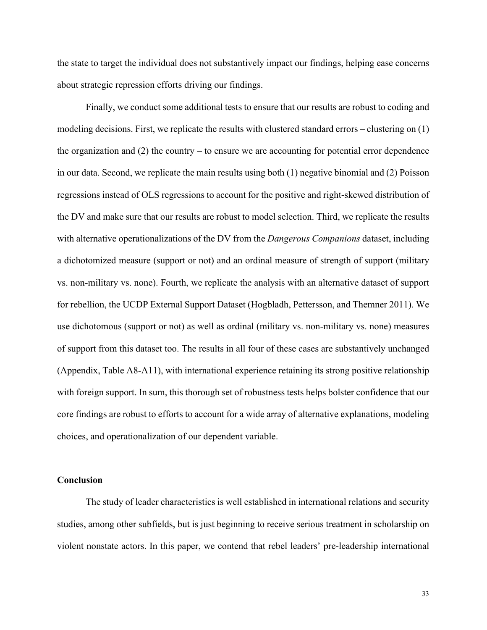the state to target the individual does not substantively impact our findings, helping ease concerns about strategic repression efforts driving our findings.

Finally, we conduct some additional tests to ensure that our results are robust to coding and modeling decisions. First, we replicate the results with clustered standard errors – clustering on (1) the organization and (2) the country – to ensure we are accounting for potential error dependence in our data. Second, we replicate the main results using both (1) negative binomial and (2) Poisson regressions instead of OLS regressions to account for the positive and right-skewed distribution of the DV and make sure that our results are robust to model selection. Third, we replicate the results with alternative operationalizations of the DV from the *Dangerous Companions* dataset, including a dichotomized measure (support or not) and an ordinal measure of strength of support (military vs. non-military vs. none). Fourth, we replicate the analysis with an alternative dataset of support for rebellion, the UCDP External Support Dataset (Hogbladh, Pettersson, and Themner 2011). We use dichotomous (support or not) as well as ordinal (military vs. non-military vs. none) measures of support from this dataset too. The results in all four of these cases are substantively unchanged (Appendix, Table A8-A11), with international experience retaining its strong positive relationship with foreign support. In sum, this thorough set of robustness tests helps bolster confidence that our core findings are robust to efforts to account for a wide array of alternative explanations, modeling choices, and operationalization of our dependent variable.

#### **Conclusion**

The study of leader characteristics is well established in international relations and security studies, among other subfields, but is just beginning to receive serious treatment in scholarship on violent nonstate actors. In this paper, we contend that rebel leaders' pre-leadership international

33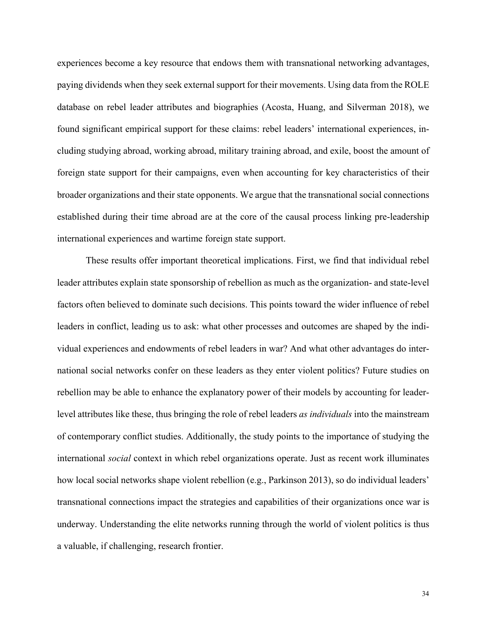experiences become a key resource that endows them with transnational networking advantages, paying dividends when they seek external support for their movements. Using data from the ROLE database on rebel leader attributes and biographies (Acosta, Huang, and Silverman 2018), we found significant empirical support for these claims: rebel leaders' international experiences, including studying abroad, working abroad, military training abroad, and exile, boost the amount of foreign state support for their campaigns, even when accounting for key characteristics of their broader organizations and their state opponents. We argue that the transnational social connections established during their time abroad are at the core of the causal process linking pre-leadership international experiences and wartime foreign state support.

These results offer important theoretical implications. First, we find that individual rebel leader attributes explain state sponsorship of rebellion as much as the organization- and state-level factors often believed to dominate such decisions. This points toward the wider influence of rebel leaders in conflict, leading us to ask: what other processes and outcomes are shaped by the individual experiences and endowments of rebel leaders in war? And what other advantages do international social networks confer on these leaders as they enter violent politics? Future studies on rebellion may be able to enhance the explanatory power of their models by accounting for leaderlevel attributes like these, thus bringing the role of rebel leaders *as individuals* into the mainstream of contemporary conflict studies. Additionally, the study points to the importance of studying the international *social* context in which rebel organizations operate. Just as recent work illuminates how local social networks shape violent rebellion (e.g., Parkinson 2013), so do individual leaders' transnational connections impact the strategies and capabilities of their organizations once war is underway. Understanding the elite networks running through the world of violent politics is thus a valuable, if challenging, research frontier.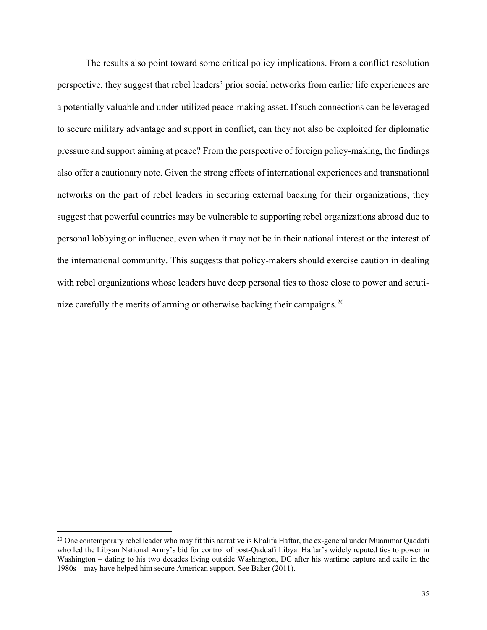The results also point toward some critical policy implications. From a conflict resolution perspective, they suggest that rebel leaders' prior social networks from earlier life experiences are a potentially valuable and under-utilized peace-making asset. If such connections can be leveraged to secure military advantage and support in conflict, can they not also be exploited for diplomatic pressure and support aiming at peace? From the perspective of foreign policy-making, the findings also offer a cautionary note. Given the strong effects of international experiences and transnational networks on the part of rebel leaders in securing external backing for their organizations, they suggest that powerful countries may be vulnerable to supporting rebel organizations abroad due to personal lobbying or influence, even when it may not be in their national interest or the interest of the international community. This suggests that policy-makers should exercise caution in dealing with rebel organizations whose leaders have deep personal ties to those close to power and scrutinize carefully the merits of arming or otherwise backing their campaigns.20

<sup>&</sup>lt;sup>20</sup> One contemporary rebel leader who may fit this narrative is Khalifa Haftar, the ex-general under Muammar Qaddafi who led the Libyan National Army's bid for control of post-Qaddafi Libya. Haftar's widely reputed ties to power in Washington – dating to his two decades living outside Washington, DC after his wartime capture and exile in the 1980s – may have helped him secure American support. See Baker (2011).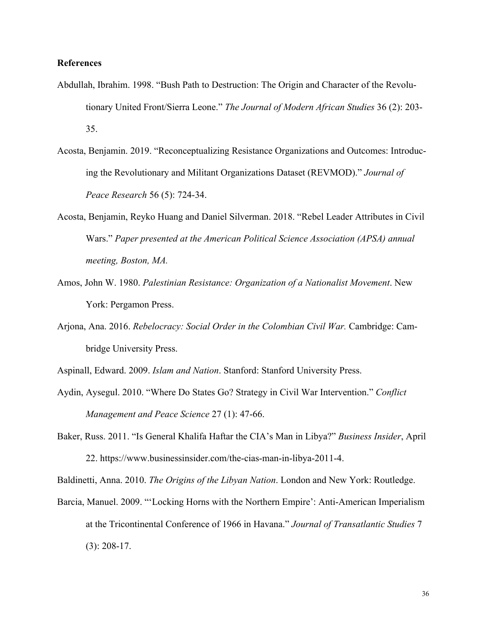#### **References**

- Abdullah, Ibrahim. 1998. "Bush Path to Destruction: The Origin and Character of the Revolutionary United Front/Sierra Leone." *The Journal of Modern African Studies* 36 (2): 203- 35.
- Acosta, Benjamin. 2019. "Reconceptualizing Resistance Organizations and Outcomes: Introducing the Revolutionary and Militant Organizations Dataset (REVMOD)." *Journal of Peace Research* 56 (5): 724-34.
- Acosta, Benjamin, Reyko Huang and Daniel Silverman. 2018. "Rebel Leader Attributes in Civil Wars." *Paper presented at the American Political Science Association (APSA) annual meeting, Boston, MA.*
- Amos, John W. 1980. *Palestinian Resistance: Organization of a Nationalist Movement*. New York: Pergamon Press.
- Arjona, Ana. 2016. *Rebelocracy: Social Order in the Colombian Civil War.* Cambridge: Cambridge University Press.
- Aspinall, Edward. 2009. *Islam and Nation*. Stanford: Stanford University Press.
- Aydin, Aysegul. 2010. "Where Do States Go? Strategy in Civil War Intervention." *Conflict Management and Peace Science* 27 (1): 47-66.
- Baker, Russ. 2011. "Is General Khalifa Haftar the CIA's Man in Libya?" *Business Insider*, April 22. https://www.businessinsider.com/the-cias-man-in-libya-2011-4.

Baldinetti, Anna. 2010. *The Origins of the Libyan Nation*. London and New York: Routledge.

Barcia, Manuel. 2009. "'Locking Horns with the Northern Empire': Anti-American Imperialism at the Tricontinental Conference of 1966 in Havana." *Journal of Transatlantic Studies* 7 (3): 208-17.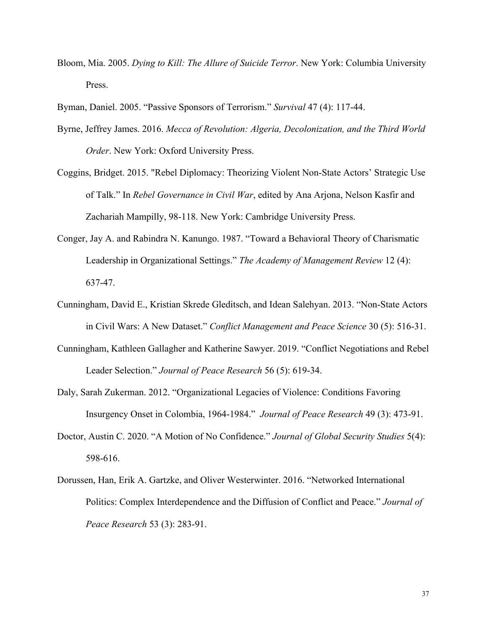- Bloom, Mia. 2005. *Dying to Kill: The Allure of Suicide Terror*. New York: Columbia University Press.
- Byman, Daniel. 2005. "Passive Sponsors of Terrorism." *Survival* 47 (4): 117-44.
- Byrne, Jeffrey James. 2016. *Mecca of Revolution: Algeria, Decolonization, and the Third World Order*. New York: Oxford University Press.
- Coggins, Bridget. 2015. "Rebel Diplomacy: Theorizing Violent Non-State Actors' Strategic Use of Talk." In *Rebel Governance in Civil War*, edited by Ana Arjona, Nelson Kasfir and Zachariah Mampilly, 98-118. New York: Cambridge University Press.
- Conger, Jay A. and Rabindra N. Kanungo. 1987. "Toward a Behavioral Theory of Charismatic Leadership in Organizational Settings." *The Academy of Management Review* 12 (4): 637-47.
- Cunningham, David E., Kristian Skrede Gleditsch, and Idean Salehyan. 2013. "Non-State Actors in Civil Wars: A New Dataset." *Conflict Management and Peace Science* 30 (5): 516-31.
- Cunningham, Kathleen Gallagher and Katherine Sawyer. 2019. "Conflict Negotiations and Rebel Leader Selection." *Journal of Peace Research* 56 (5): 619-34.
- Daly, Sarah Zukerman. 2012. "Organizational Legacies of Violence: Conditions Favoring Insurgency Onset in Colombia, 1964-1984." *Journal of Peace Research* 49 (3): 473-91.
- Doctor, Austin C. 2020. "A Motion of No Confidence." *Journal of Global Security Studies* 5(4): 598-616.
- Dorussen, Han, Erik A. Gartzke, and Oliver Westerwinter. 2016. "Networked International Politics: Complex Interdependence and the Diffusion of Conflict and Peace." *Journal of Peace Research* 53 (3): 283-91.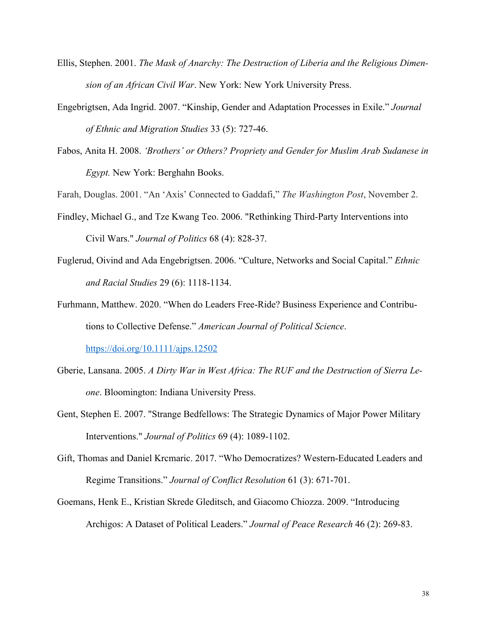- Ellis, Stephen. 2001. *The Mask of Anarchy: The Destruction of Liberia and the Religious Dimension of an African Civil War*. New York: New York University Press.
- Engebrigtsen, Ada Ingrid. 2007. "Kinship, Gender and Adaptation Processes in Exile." *Journal of Ethnic and Migration Studies* 33 (5): 727-46.
- Fabos, Anita H. 2008. *'Brothers' or Others? Propriety and Gender for Muslim Arab Sudanese in Egypt.* New York: Berghahn Books.

Farah, Douglas. 2001. "An 'Axis' Connected to Gaddafi," *The Washington Post*, November 2.

- Findley, Michael G., and Tze Kwang Teo. 2006. "Rethinking Third-Party Interventions into Civil Wars." *Journal of Politics* 68 (4): 828-37.
- Fuglerud, Oivind and Ada Engebrigtsen. 2006. "Culture, Networks and Social Capital." *Ethnic and Racial Studies* 29 (6): 1118-1134.
- Furhmann, Matthew. 2020. "When do Leaders Free-Ride? Business Experience and Contributions to Collective Defense." *American Journal of Political Science*. https://doi.org/10.1111/ajps.12502

- Gberie, Lansana. 2005. *A Dirty War in West Africa: The RUF and the Destruction of Sierra Leone*. Bloomington: Indiana University Press.
- Gent, Stephen E. 2007. "Strange Bedfellows: The Strategic Dynamics of Major Power Military Interventions." *Journal of Politics* 69 (4): 1089-1102.
- Gift, Thomas and Daniel Krcmaric. 2017. "Who Democratizes? Western-Educated Leaders and Regime Transitions." *Journal of Conflict Resolution* 61 (3): 671-701.
- Goemans, Henk E., Kristian Skrede Gleditsch, and Giacomo Chiozza. 2009. "Introducing Archigos: A Dataset of Political Leaders." *Journal of Peace Research* 46 (2): 269-83.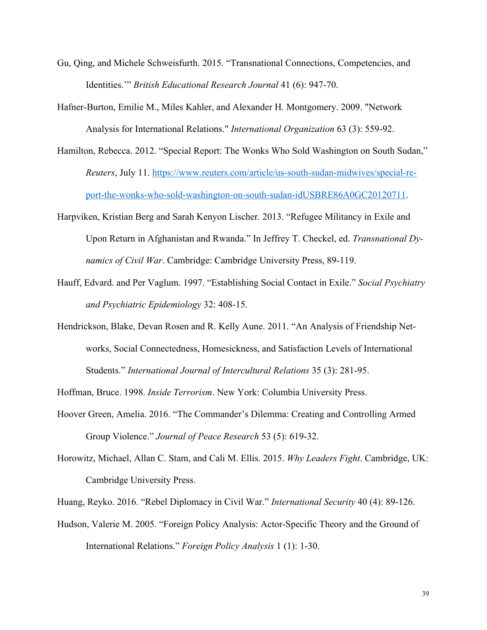- Gu, Qing, and Michele Schweisfurth. 2015. "Transnational Connections, Competencies, and Identities.'" *British Educational Research Journal* 41 (6): 947-70.
- Hafner-Burton, Emilie M., Miles Kahler, and Alexander H. Montgomery. 2009. "Network Analysis for International Relations." *International Organization* 63 (3): 559-92.
- Hamilton, Rebecca. 2012. "Special Report: The Wonks Who Sold Washington on South Sudan," *Reuters*, July 11. https://www.reuters.com/article/us-south-sudan-midwives/special-report-the-wonks-who-sold-washington-on-south-sudan-idUSBRE86A0GC20120711.
- Harpviken, Kristian Berg and Sarah Kenyon Lischer. 2013. "Refugee Militancy in Exile and Upon Return in Afghanistan and Rwanda." In Jeffrey T. Checkel, ed. *Transnational Dynamics of Civil War*. Cambridge: Cambridge University Press, 89-119.
- Hauff, Edvard. and Per Vaglum. 1997. "Establishing Social Contact in Exile." *Social Psychiatry and Psychiatric Epidemiology* 32: 408-15.
- Hendrickson, Blake, Devan Rosen and R. Kelly Aune. 2011. "An Analysis of Friendship Networks, Social Connectedness, Homesickness, and Satisfaction Levels of International Students." *International Journal of Intercultural Relations* 35 (3): 281-95.

Hoffman, Bruce. 1998. *Inside Terrorism*. New York: Columbia University Press.

- Hoover Green, Amelia. 2016. "The Commander's Dilemma: Creating and Controlling Armed Group Violence." *Journal of Peace Research* 53 (5): 619-32.
- Horowitz, Michael, Allan C. Stam, and Cali M. Ellis. 2015. *Why Leaders Fight*. Cambridge, UK: Cambridge University Press.

Huang, Reyko. 2016. "Rebel Diplomacy in Civil War." *International Security* 40 (4): 89-126.

Hudson, Valerie M. 2005. "Foreign Policy Analysis: Actor-Specific Theory and the Ground of International Relations." *Foreign Policy Analysis* 1 (1): 1-30.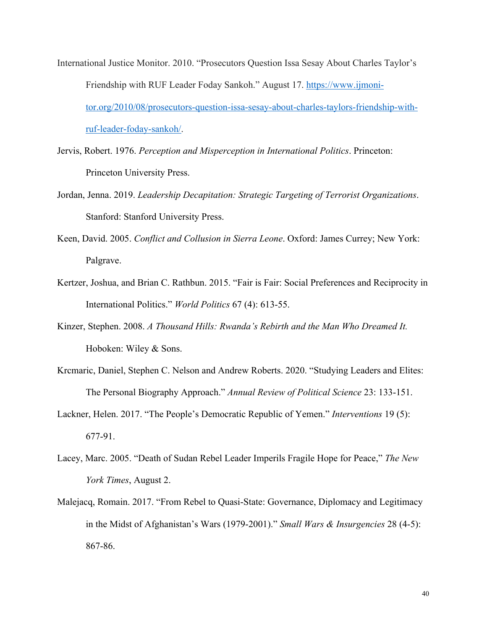- International Justice Monitor. 2010. "Prosecutors Question Issa Sesay About Charles Taylor's Friendship with RUF Leader Foday Sankoh." August 17. https://www.ijmonitor.org/2010/08/prosecutors-question-issa-sesay-about-charles-taylors-friendship-withruf-leader-foday-sankoh/.
- Jervis, Robert. 1976. *Perception and Misperception in International Politics*. Princeton: Princeton University Press.
- Jordan, Jenna. 2019. *Leadership Decapitation: Strategic Targeting of Terrorist Organizations*. Stanford: Stanford University Press.
- Keen, David. 2005. *Conflict and Collusion in Sierra Leone*. Oxford: James Currey; New York: Palgrave.
- Kertzer, Joshua, and Brian C. Rathbun. 2015. "Fair is Fair: Social Preferences and Reciprocity in International Politics." *World Politics* 67 (4): 613-55.
- Kinzer, Stephen. 2008. *A Thousand Hills: Rwanda's Rebirth and the Man Who Dreamed It.* Hoboken: Wiley & Sons.
- Krcmaric, Daniel, Stephen C. Nelson and Andrew Roberts. 2020. "Studying Leaders and Elites: The Personal Biography Approach." *Annual Review of Political Science* 23: 133-151.
- Lackner, Helen. 2017. "The People's Democratic Republic of Yemen." *Interventions* 19 (5): 677-91.
- Lacey, Marc. 2005. "Death of Sudan Rebel Leader Imperils Fragile Hope for Peace," *The New York Times*, August 2.
- Malejacq, Romain. 2017. "From Rebel to Quasi-State: Governance, Diplomacy and Legitimacy in the Midst of Afghanistan's Wars (1979-2001)." *Small Wars & Insurgencies* 28 (4-5): 867-86.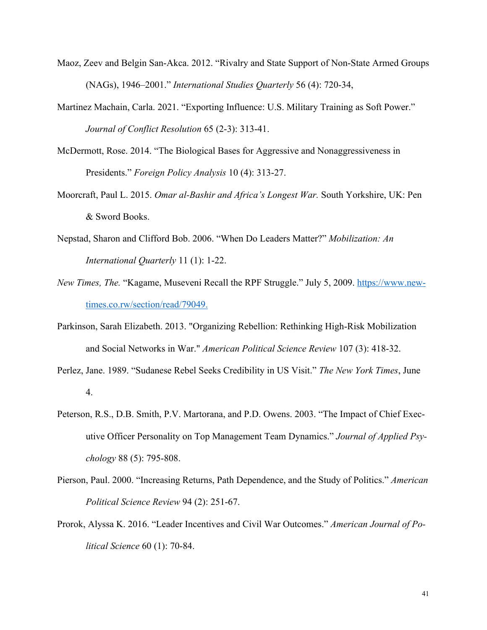- Maoz, Zeev and Belgin San-Akca. 2012. "Rivalry and State Support of Non-State Armed Groups (NAGs), 1946–2001." *International Studies Quarterly* 56 (4): 720-34,
- Martinez Machain, Carla. 2021. "Exporting Influence: U.S. Military Training as Soft Power." *Journal of Conflict Resolution* 65 (2-3): 313-41.
- McDermott, Rose. 2014. "The Biological Bases for Aggressive and Nonaggressiveness in Presidents." *Foreign Policy Analysis* 10 (4): 313-27.
- Moorcraft, Paul L. 2015. *Omar al-Bashir and Africa's Longest War.* South Yorkshire, UK: Pen & Sword Books.
- Nepstad, Sharon and Clifford Bob. 2006. "When Do Leaders Matter?" *Mobilization: An International Quarterly* 11 (1): 1-22.
- *New Times, The.* "Kagame, Museveni Recall the RPF Struggle." July 5, 2009. https://www.newtimes.co.rw/section/read/79049.
- Parkinson, Sarah Elizabeth. 2013. "Organizing Rebellion: Rethinking High-Risk Mobilization and Social Networks in War." *American Political Science Review* 107 (3): 418-32.
- Perlez, Jane. 1989. "Sudanese Rebel Seeks Credibility in US Visit." *The New York Times*, June 4.
- Peterson, R.S., D.B. Smith, P.V. Martorana, and P.D. Owens. 2003. "The Impact of Chief Executive Officer Personality on Top Management Team Dynamics." *Journal of Applied Psychology* 88 (5): 795-808.
- Pierson, Paul. 2000. "Increasing Returns, Path Dependence, and the Study of Politics." *American Political Science Review* 94 (2): 251-67.
- Prorok, Alyssa K. 2016. "Leader Incentives and Civil War Outcomes." *American Journal of Political Science* 60 (1): 70-84.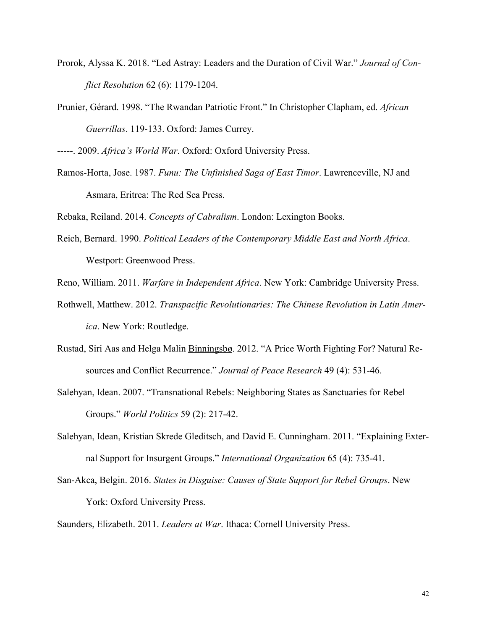- Prorok, Alyssa K. 2018. "Led Astray: Leaders and the Duration of Civil War." *Journal of Conflict Resolution* 62 (6): 1179-1204.
- Prunier, Gérard. 1998. "The Rwandan Patriotic Front." In Christopher Clapham, ed. *African Guerrillas*. 119-133. Oxford: James Currey.

-----. 2009. *Africa's World War*. Oxford: Oxford University Press.

Ramos-Horta, Jose. 1987. *Funu: The Unfinished Saga of East Timor*. Lawrenceville, NJ and Asmara, Eritrea: The Red Sea Press.

Rebaka, Reiland. 2014. *Concepts of Cabralism*. London: Lexington Books.

Reich, Bernard. 1990. *Political Leaders of the Contemporary Middle East and North Africa*. Westport: Greenwood Press.

Reno, William. 2011. *Warfare in Independent Africa*. New York: Cambridge University Press.

- Rothwell, Matthew. 2012. *Transpacific Revolutionaries: The Chinese Revolution in Latin America*. New York: Routledge.
- Rustad, Siri Aas and Helga Malin Binningsbø. 2012. "A Price Worth Fighting For? Natural Resources and Conflict Recurrence." *Journal of Peace Research* 49 (4): 531-46.
- Salehyan, Idean. 2007. "Transnational Rebels: Neighboring States as Sanctuaries for Rebel Groups." *World Politics* 59 (2): 217-42.
- Salehyan, Idean, Kristian Skrede Gleditsch, and David E. Cunningham. 2011. "Explaining External Support for Insurgent Groups." *International Organization* 65 (4): 735-41.
- San-Akca, Belgin. 2016. *States in Disguise: Causes of State Support for Rebel Groups*. New York: Oxford University Press.

Saunders, Elizabeth. 2011. *Leaders at War*. Ithaca: Cornell University Press.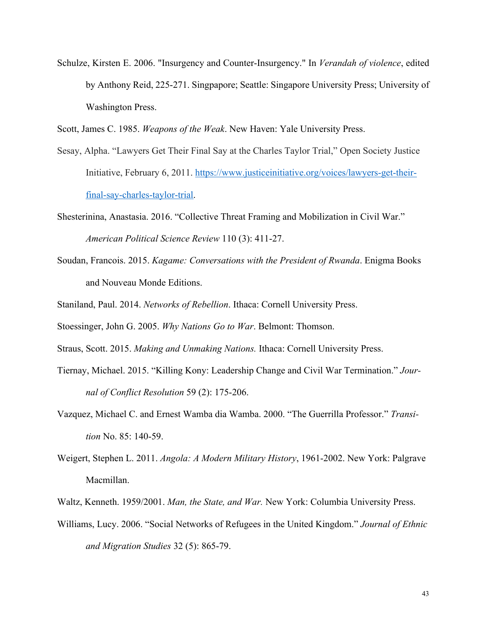- Schulze, Kirsten E. 2006. "Insurgency and Counter-Insurgency." In *Verandah of violence*, edited by Anthony Reid, 225-271. Singpapore; Seattle: Singapore University Press; University of Washington Press.
- Scott, James C. 1985. *Weapons of the Weak*. New Haven: Yale University Press.
- Sesay, Alpha. "Lawyers Get Their Final Say at the Charles Taylor Trial," Open Society Justice Initiative, February 6, 2011. https://www.justiceinitiative.org/voices/lawyers-get-theirfinal-say-charles-taylor-trial.
- Shesterinina, Anastasia. 2016. "Collective Threat Framing and Mobilization in Civil War." *American Political Science Review* 110 (3): 411-27.
- Soudan, Francois. 2015. *Kagame: Conversations with the President of Rwanda*. Enigma Books and Nouveau Monde Editions.
- Staniland, Paul. 2014. *Networks of Rebellion*. Ithaca: Cornell University Press.
- Stoessinger, John G. 2005. *Why Nations Go to War*. Belmont: Thomson.
- Straus, Scott. 2015. *Making and Unmaking Nations.* Ithaca: Cornell University Press.
- Tiernay, Michael. 2015. "Killing Kony: Leadership Change and Civil War Termination." *Journal of Conflict Resolution* 59 (2): 175-206.
- Vazquez, Michael C. and Ernest Wamba dia Wamba. 2000. "The Guerrilla Professor." *Transition* No. 85: 140-59.
- Weigert, Stephen L. 2011. *Angola: A Modern Military History*, 1961-2002. New York: Palgrave Macmillan.
- Waltz, Kenneth. 1959/2001. *Man, the State, and War.* New York: Columbia University Press.
- Williams, Lucy. 2006. "Social Networks of Refugees in the United Kingdom." *Journal of Ethnic and Migration Studies* 32 (5): 865-79.